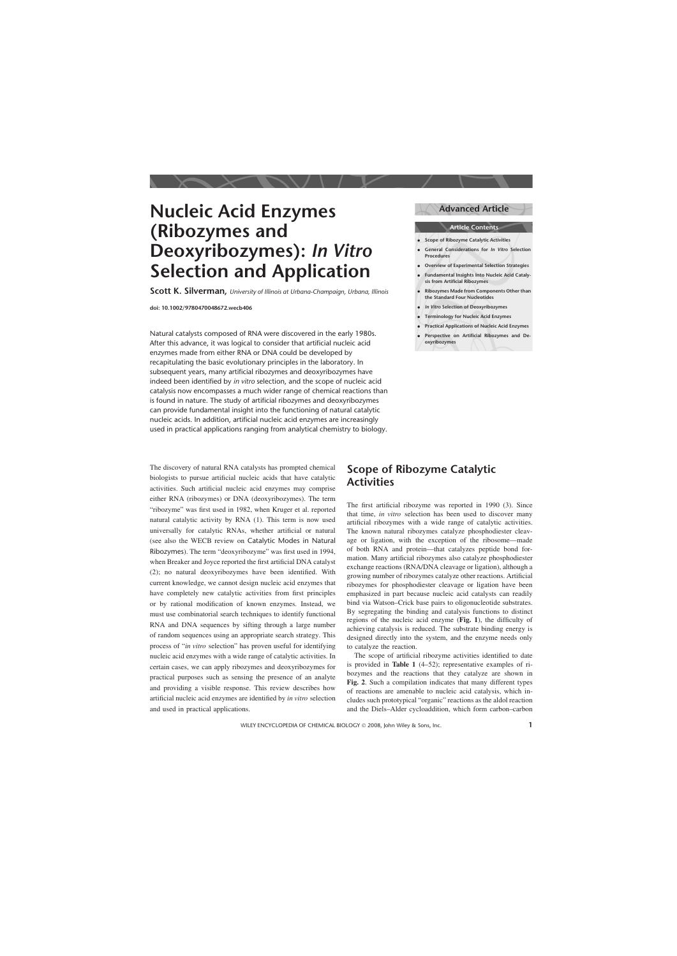#### **Advanced Article**

#### **Article Contents**

- **• Scope of Ribozyme Catalytic Activities**
- **• General Considerations for** *In Vitro* **Selection Procedures**
- **• Overview of Experimental Selection Strategies**
- **• Fundamental Insights Into Nucleic Acid Catalysis from Artificial Ribozymes**
- **• Ribozymes Made from Components Other than the Standard Four Nucleotides**
- **•** *In Vitro* **Selection of Deoxyribozymes**
- **• Terminology for Nucleic Acid Enzymes**
- **• Practical Applications of Nucleic Acid Enzymes**
- **• Perspective on Artificial Ribozymes and Deoxyribozymes**

# **Nucleic Acid Enzymes (Ribozymes and Deoxyribozymes):** *In Vitro* **Selection and Application**

**Scott K. Silverman,** *University of Illinois at Urbana-Champaign, Urbana, Illinois*

**doi: 10.1002/9780470048672.wecb406**

Natural catalysts composed of RNA were discovered in the early 1980s. After this advance, it was logical to consider that artificial nucleic acid enzymes made from either RNA or DNA could be developed by recapitulating the basic evolutionary principles in the laboratory. In subsequent years, many artificial ribozymes and deoxyribozymes have indeed been identified by *in vitro* selection, and the scope of nucleic acid catalysis now encompasses a much wider range of chemical reactions than is found in nature. The study of artificial ribozymes and deoxyribozymes can provide fundamental insight into the functioning of natural catalytic nucleic acids. In addition, artificial nucleic acid enzymes are increasingly used in practical applications ranging from analytical chemistry to biology.

The discovery of natural RNA catalysts has prompted chemical biologists to pursue artificial nucleic acids that have catalytic activities. Such artificial nucleic acid enzymes may comprise either RNA (ribozymes) or DNA (deoxyribozymes). The term "ribozyme" was first used in 1982, when Kruger et al. reported natural catalytic activity by RNA (1). This term is now used universally for catalytic RNAs, whether artificial or natural (see also the WECB review on Catalytic Modes in Natural Ribozymes). The term "deoxyribozyme" was first used in 1994, when Breaker and Joyce reported the first artificial DNA catalyst (2); no natural deoxyribozymes have been identified. With current knowledge, we cannot design nucleic acid enzymes that have completely new catalytic activities from first principles or by rational modification of known enzymes. Instead, we must use combinatorial search techniques to identify functional RNA and DNA sequences by sifting through a large number of random sequences using an appropriate search strategy. This process of "*in vitro* selection" has proven useful for identifying nucleic acid enzymes with a wide range of catalytic activities. In certain cases, we can apply ribozymes and deoxyribozymes for practical purposes such as sensing the presence of an analyte and providing a visible response. This review describes how artificial nucleic acid enzymes are identified by *in vitro* selection and used in practical applications.

# **Scope of Ribozyme Catalytic Activities**

The first artificial ribozyme was reported in 1990 (3). Since that time, *in vitro* selection has been used to discover many artificial ribozymes with a wide range of catalytic activities. The known natural ribozymes catalyze phosphodiester cleavage or ligation, with the exception of the ribosome—made of both RNA and protein—that catalyzes peptide bond formation. Many artificial ribozymes also catalyze phosphodiester exchange reactions (RNA/DNA cleavage or ligation), although a growing number of ribozymes catalyze other reactions. Artificial ribozymes for phosphodiester cleavage or ligation have been emphasized in part because nucleic acid catalysts can readily bind via Watson–Crick base pairs to oligonucleotide substrates. By segregating the binding and catalysis functions to distinct regions of the nucleic acid enzyme (**Fig. 1**), the difficulty of achieving catalysis is reduced. The substrate binding energy is designed directly into the system, and the enzyme needs only to catalyze the reaction.

The scope of artificial ribozyme activities identified to date is provided in **Table 1** (4–52); representative examples of ribozymes and the reactions that they catalyze are shown in **Fig. 2**. Such a compilation indicates that many different types of reactions are amenable to nucleic acid catalysis, which includes such prototypical "organic" reactions as the aldol reaction and the Diels–Alder cycloaddition, which form carbon–carbon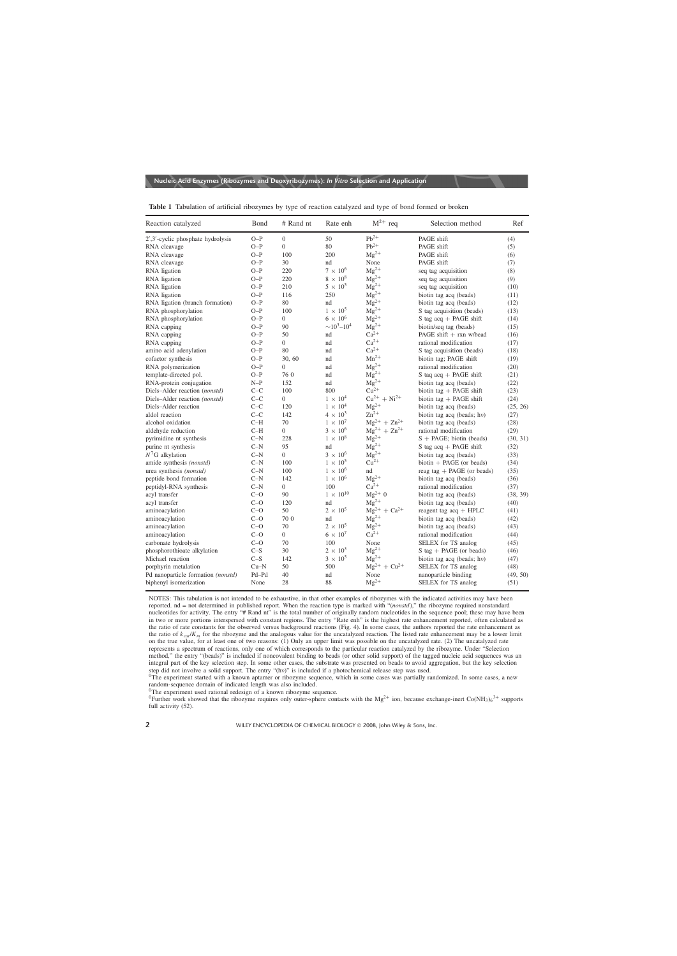**Table 1** Tabulation of artificial ribozymes by type of reaction catalyzed and type of bond formed or broken

NOTES: This tabulation is not intended to be exhaustive, in that other examples of ribozymes with the indicated activities may have been reported. nd = not determined in published report. When the reaction type is marked with "(*nonstd*)," the ribozyme required nonstandard nucleotides for activity. The entry "# Rand nt" is the total number of originally random nucleotides in the sequence pool; these may have been in two or more portions interspersed with constant regions. The entry "Rate enh" is the highest rate enhancement reported, often calculated as the ratio of rate constants for the observed versus background reactions (Fig. 4). In some cases, the authors reported the rate enhancement as the ratio of  $k_{cal}/K_m$  for the ribozyme and the analogous value for the uncatalyzed reaction. The listed rate enhancement may be a lower limit on the true value, for at least one of two reasons: (1) Only an upper limit was possible on the uncatalyzed rate. (2) The uncatalyzed rate represents a spectrum of reactions, only one of which corresponds to the particular reaction catalyzed by the ribozyme. Under "Selection method," the entry "(beads)" is included if noncovalent binding to beads (or other solid support) of the tagged nucleic acid sequences was an integral part of the key selection step. In some other cases, the substrate was presented on beads to avoid aggregation, but the key selection step did not involve a solid support. The entry "(hv)" is included if a photochemical release step was used.<br><sup>0</sup>The experiment started with a known aptamer or ribozyme sequence, which in some cases was partially randomized

| Reaction catalyzed                 | Bond   | # Rand nt        | Rate enh                                | $M^{2+}$ req        | Selection method                  | Ref      |
|------------------------------------|--------|------------------|-----------------------------------------|---------------------|-----------------------------------|----------|
| 2',3'-cyclic phosphate hydrolysis  | $O-P$  | $\boldsymbol{0}$ | 50                                      | $Pb^{2+}$           | PAGE shift                        | (4)      |
| RNA cleavage                       | $O-P$  | $\boldsymbol{0}$ | 80                                      | $Ph^{2+}$           | PAGE shift                        | (5)      |
| RNA cleavage                       | $O-P$  | 100              | 200                                     | $Mg^{2+}$           | PAGE shift                        | (6)      |
| RNA cleavage                       | $O-P$  | 30               | nd                                      | None                | PAGE shift                        | (7)      |
| RNA ligation                       | $O-P$  | 220              | $7 \times 10^6$                         | $Mg^{2+}$           | seq tag acquisition               | (8)      |
| RNA ligation                       | $O-P$  | 220              | $8 \times 10^8$                         | $Mg^{2+}$           | seq tag acquisition               | (9)      |
| RNA ligation                       | $O-P$  | 210              | $5\,\times\,10^5$                       | $Mg^{2+}$           | seq tag acquisition               | (10)     |
| RNA ligation                       | $O-P$  | 116              | 250                                     | $Mg^{2+}$           | biotin tag acq (beads)            | (11)     |
| RNA ligation (branch formation)    | $O-P$  | 80               | nd                                      | $Mg^{2+}$           | biotin tag acq (beads)            | (12)     |
| RNA phosphorylation                | $O-P$  | 100              | $1\,\times\,10^5$                       | $Mg^{2+}$           | S tag acquisition (beads)         | (13)     |
| RNA phosphorylation                | $O-P$  | $\overline{0}$   | $6 \times 10^{6}$                       | $Mg^{2+}$           | S tag $acq$ + PAGE shift          | (14)     |
| RNA capping                        | $O-P$  | 90               | $\sim$ 10 <sup>3</sup> -10 <sup>4</sup> | $Mg^{2+}$           | biotin/seq tag (beads)            | (15)     |
| RNA capping                        | $O-P$  | 50               | nd                                      | $Ca^{2+}$           | PAGE shift $+$ rxn w/bead         | (16)     |
| RNA capping                        | $O-P$  | $\overline{0}$   | nd                                      | $Ca^{2+}$           | rational modification             | (17)     |
| amino acid adenylation             | $O-P$  | 80               | nd                                      | $Ca^{2+}$           | S tag acquisition (beads)         | (18)     |
| cofactor synthesis                 | $O-P$  | 30, 60           | nd                                      | $Mn^{2+}$           | biotin tag; PAGE shift            | (19)     |
| RNA polymerization                 | $O-P$  | $\overline{0}$   | nd                                      | $Mg^{2+}$           | rational modification             | (20)     |
| template-directed pol.             | $O-P$  | 76 0             | nd                                      | $Mg^{2+}$           | S taq acq $+$ PAGE shift          | (21)     |
| RNA-protein conjugation            | $N-P$  | 152              | nd                                      | $Mg^{2+}$           | biotin tag acq (beads)            | (22)     |
| Diels-Alder reaction (nonstd)      | $C-C$  | 100              | 800                                     | $\mathrm{Cu}^{2+}$  | biotin tag $+$ PAGE shift         | (23)     |
| Diels-Alder reaction (nonstd)      | $C-C$  | $\overline{0}$   | $1 \times 10^4$                         | $Cu^{2+} + Ni^{2+}$ | biotin tag $+$ PAGE shift         | (24)     |
| Diels-Alder reaction               | $C-C$  | 120              | $1 \times 10^4$                         | $Mg^{2+}$           | biotin tag acq (beads)            | (25, 26) |
| aldol reaction                     | $C-C$  | 142              | $4 \times 10^3$                         | $Zn^{2+}$           | biotin tag acq (beads; hv)        | (27)     |
| alcohol oxidation                  | $C-H$  | 70               | $1 \times 10^7$                         | $Mg^{2+} + Zn^{2+}$ | biotin tag acq (beads)            | (28)     |
| aldehyde reduction                 | $C-H$  | $\overline{0}$   | $3 \times 10^{6}$                       | $Mg^{2+} + Zn^{2+}$ | rational modification             | (29)     |
| pyrimidine nt synthesis            | $C-N$  | 228              | $1 \times 10^8$                         | $Mg^{2+}$           | $S + PAGE$ ; biotin (beads)       | (30, 31) |
| purine nt synthesis                | $C-N$  | 95               | nd                                      | $Mg^{2+}$           | S tag $acq$ + PAGE shift          | (32)     |
| $N7G$ alkylation                   | $C-N$  | $\overline{0}$   | $3 \times 10^{6}$                       | $\rm Mg^{2+}$       | biotin tag acq (beads)            | (33)     |
| amide synthesis (nonstd)           | $C-N$  | 100              | $1 \times 10^5$                         | $Cu2+$              | $biotin + PAGE$ (or beads)        | (34)     |
| urea synthesis (nonstd)            | $C-N$  | 100              | $1 \times 10^6$                         | nd                  | reag tag + PAGE (or beads)        | (35)     |
| peptide bond formation             | $C-N$  | 142              | $1 \times 10^6$                         | $Mg^{2+}$           | biotin tag acq (beads)            | (36)     |
| peptidyl-RNA synthesis             | $C-N$  | $\overline{0}$   | 100                                     | $Ca^{2+}$           | rational modification             | (37)     |
| acyl transfer                      | $C-O$  | 90               | $1 \times 10^{10}$                      | $Mg^{2+}0$          | biotin tag acq (beads)            | (38, 39) |
| acyl transfer                      | $C-O$  | 120              | nd                                      | $Mg^{2+}$           | biotin tag acq (beads)            | (40)     |
| aminoacylation                     | $C-O$  | 50               | $2 \times 10^5$                         | $Mg^{2+} + Ca^{2+}$ | reagent tag $acq$ + HPLC          | (41)     |
| aminoacylation                     | $C-O$  | 70 0             | nd                                      | $Mg^{2+}$           | biotin tag acq (beads)            | (42)     |
| aminoacylation                     | $C-O$  | 70               | $2 \times 10^5$                         | $Mg^{2+}$           | biotin tag acq (beads)            | (43)     |
| aminoacylation                     | $C-O$  | $\overline{0}$   | $6 \times 10^7$                         | $\mathrm{Ca}^{2+}$  | rational modification             | (44)     |
| carbonate hydrolysis               | $C-O$  | 70               | 100                                     | None                | SELEX for TS analog               | (45)     |
| phosphorothioate alkylation        | $C-S$  | 30               | $2 \times 10^3$                         | $Mg^{2+}$           | $S \text{ tag} + PAGE$ (or beads) | (46)     |
| Michael reaction                   | $C-S$  | 142              | $3 \times 10^{5}$                       | $Mg^{2+}$           | biotin tag acq (beads; hv)        | (47)     |
| porphyrin metalation               | $Cu-N$ | 50               | 500                                     | $Mg^{2+} + Cu^{2+}$ | SELEX for TS analog               | (48)     |
| Pd nanoparticle formation (nonstd) | Pd-Pd  | 40               | nd                                      | None                | nanoparticle binding              | (49, 50) |
| biphenyl isomerization             | None   | 28               | 88                                      | $Mg^{2+}$           | SELEX for TS analog               | (51)     |
|                                    |        |                  |                                         |                     |                                   |          |

<sup>0</sup>Further work showed that the ribozyme requires only outer-sphere contacts with the Mg<sup>2+</sup> ion, because exchange-inert Co(NH<sub>3</sub>)<sub>6</sub><sup>3+</sup> supports full activity (52).

random-sequence domain of indicated length was also included. 0The experiment used rational redesign of a known ribozyme sequence.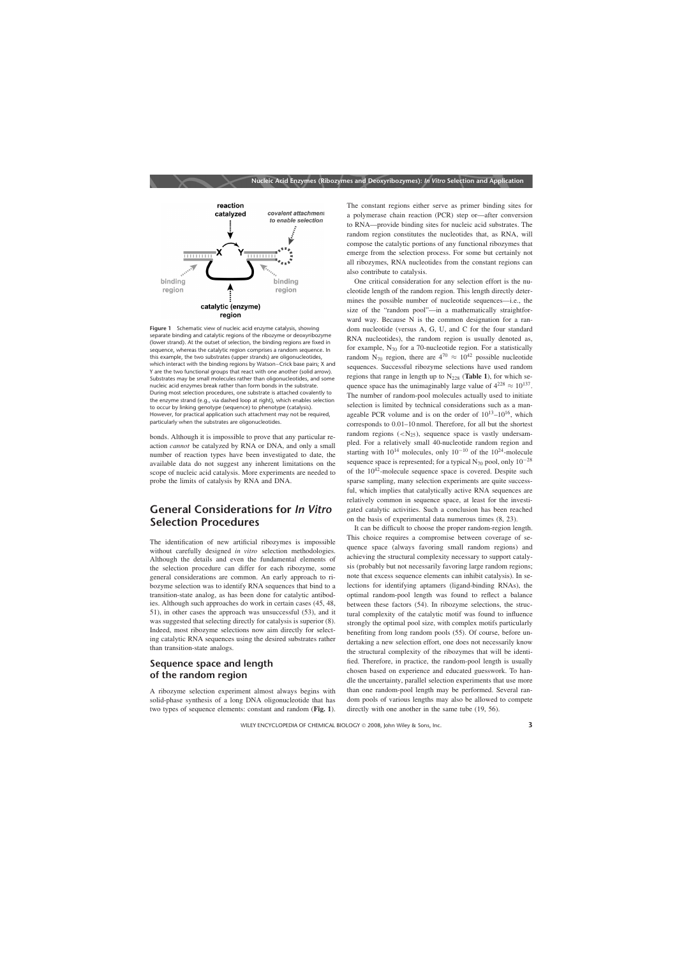#### reaction The constant regions either serve as primer binding sites for catalyzed covalent attachment a polymerase chain reaction (PCR) step or—after conversion to enable selection to RNA—provide binding sites for nucleic acid substrates. The random region constitutes the nucleotides that, as RNA, will compose the catalytic portions of any functional ribozymes that emerge from the selection process. For some but certainly not  $1111111$  $11111111$ all ribozymes, RNA nucleotides from the constant regions can also contribute to catalysis. binding binding One critical consideration for any selection effort is the nuregion region catalytic (enzyme)

**Nucleic Acid Enzymes (Ribozymes and Deoxyribozymes):** *In Vitro* **Selection and Application**

**Figure 1** Schematic view of nucleic acid enzyme catalysis, showing separate binding and catalytic regions of the ribozyme or deoxyribozyme (lower strand). At the outset of selection, the binding regions are fixed in sequence, whereas the catalytic region comprises a random sequence. In this example, the two substrates (upper strands) are oligonucleotides, which interact with the binding regions by Watson–Crick base pairs; X and Y are the two functional groups that react with one another (solid arrow). Substrates may be small molecules rather than oligonucleotides, and some nucleic acid enzymes break rather than form bonds in the substrate. During most selection procedures, one substrate is attached covalently to the enzyme strand (e.g., via dashed loop at right), which enables selection to occur by linking genotype (sequence) to phenotype (catalysis). However, for practical application such attachment may not be required, particularly when the substrates are oligonucleotides.

region

bonds. Although it is impossible to prove that any particular reaction *cannot* be catalyzed by RNA or DNA, and only a small number of reaction types have been investigated to date, the available data do not suggest any inherent limitations on the scope of nucleic acid catalysis. More experiments are needed to probe the limits of catalysis by RNA and DNA.

# **General Considerations for** *In Vitro* **Selection Procedures**

The identification of new artificial ribozymes is impossible without carefully designed *in vitro* selection methodologies. Although the details and even the fundamental elements of the selection procedure can differ for each ribozyme, some general considerations are common. An early approach to ribozyme selection was to identify RNA sequences that bind to a transition-state analog, as has been done for catalytic antibodies. Although such approaches do work in certain cases (45, 48, 51), in other cases the approach was unsuccessful (53), and it was suggested that selecting directly for catalysis is superior (8). Indeed, most ribozyme selections now aim directly for selecting catalytic RNA sequences using the desired substrates rather than transition-state analogs.

### **Sequence space and length of the random region**

A ribozyme selection experiment almost always begins with solid-phase synthesis of a long DNA oligonucleotide that has two types of sequence elements: constant and random (**Fig. 1**).

cleotide length of the random region. This length directly determines the possible number of nucleotide sequences—i.e., the size of the "random pool"—in a mathematically straightforward way. Because N is the common designation for a random nucleotide (versus A, G, U, and C for the four standard RNA nucleotides), the random region is usually denoted as, for example,  $N_{70}$  for a 70-nucleotide region. For a statistically random N<sub>70</sub> region, there are  $4^{70} \approx 10^{42}$  possible nucleotide sequences. Successful ribozyme selections have used random regions that range in length up to  $N_{228}$  (Table 1), for which sequence space has the unimaginably large value of  $4^{228} \approx 10^{137}$ . The number of random-pool molecules actually used to initiate selection is limited by technical considerations such as a manageable PCR volume and is on the order of  $10^{13}$ – $10^{16}$ , which corresponds to 0.01–10 nmol. Therefore, for all but the shortest random regions  $( $N_{25}$ ), sequence space is vastly undersam$ pled. For a relatively small 40-nucleotide random region and starting with  $10^{14}$  molecules, only  $10^{-10}$  of the  $10^{24}$ -molecule sequence space is represented; for a typical N<sub>70</sub> pool, only  $10^{-28}$ of the  $10^{42}$ -molecule sequence space is covered. Despite such sparse sampling, many selection experiments are quite successful, which implies that catalytically active RNA sequences are relatively common in sequence space, at least for the investigated catalytic activities. Such a conclusion has been reached on the basis of experimental data numerous times (8, 23).

It can be difficult to choose the proper random-region length. This choice requires a compromise between coverage of sequence space (always favoring small random regions) and achieving the structural complexity necessary to support catalysis (probably but not necessarily favoring large random regions; note that excess sequence elements can inhibit catalysis). In selections for identifying aptamers (ligand-binding RNAs), the optimal random-pool length was found to reflect a balance between these factors (54). In ribozyme selections, the structural complexity of the catalytic motif was found to influence strongly the optimal pool size, with complex motifs particularly benefiting from long random pools (55). Of course, before undertaking a new selection effort, one does not necessarily know the structural complexity of the ribozymes that will be identified. Therefore, in practice, the random-pool length is usually chosen based on experience and educated guesswork. To handle the uncertainty, parallel selection experiments that use more than one random-pool length may be performed. Several random pools of various lengths may also be allowed to compete directly with one another in the same tube (19, 56).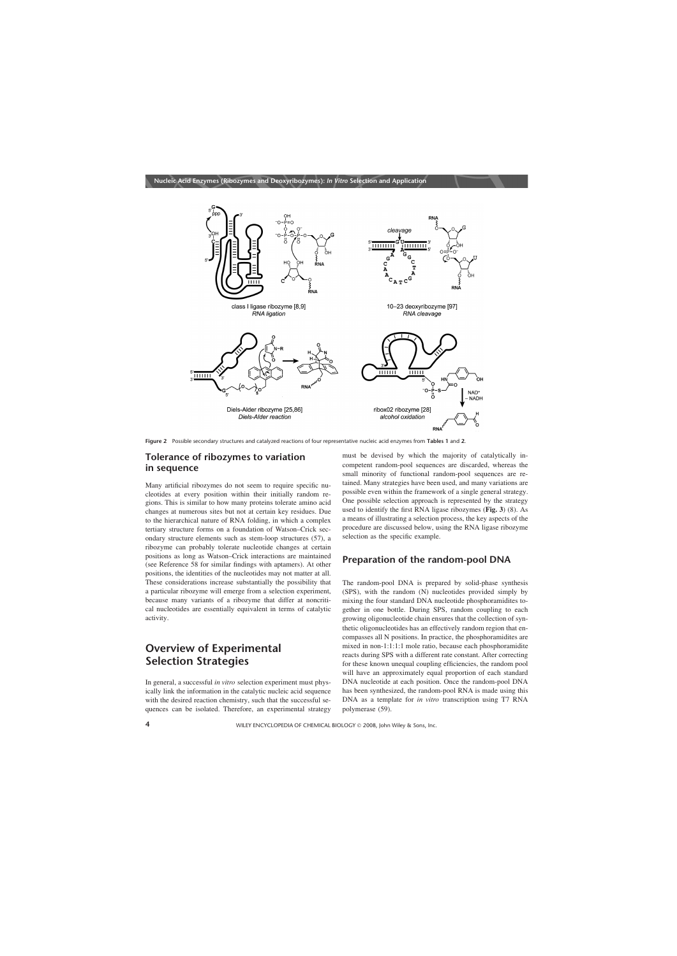

**Figure 2** Possible secondary structures and catalyzed reactions of four representative nucleic acid enzymes from **Tables 1** and **2**.

### **Tolerance of ribozymes to variation in sequence**

Many artificial ribozymes do not seem to require specific nucleotides at every position within their initially random regions. This is similar to how many proteins tolerate amino acid changes at numerous sites but not at certain key residues. Due to the hierarchical nature of RNA folding, in which a complex tertiary structure forms on a foundation of Watson–Crick secondary structure elements such as stem-loop structures (57), a ribozyme can probably tolerate nucleotide changes at certain positions as long as Watson–Crick interactions are maintained (see Reference 58 for similar findings with aptamers). At other positions, the identities of the nucleotides may not matter at all. These considerations increase substantially the possibility that a particular ribozyme will emerge from a selection experiment, because many variants of a ribozyme that differ at noncritical nucleotides are essentially equivalent in terms of catalytic activity.

# **Overview of Experimental Selection Strategies**

In general, a successful *in vitro* selection experiment must physically link the information in the catalytic nucleic acid sequence with the desired reaction chemistry, such that the successful sequences can be isolated. Therefore, an experimental strategy

must be devised by which the majority of catalytically incompetent random-pool sequences are discarded, whereas the small minority of functional random-pool sequences are retained. Many strategies have been used, and many variations are possible even within the framework of a single general strategy. One possible selection approach is represented by the strategy used to identify the first RNA ligase ribozymes (**Fig. 3**) (8). As a means of illustrating a selection process, the key aspects of the procedure are discussed below, using the RNA ligase ribozyme selection as the specific example.

### **Preparation of the random-pool DNA**

The random-pool DNA is prepared by solid-phase synthesis (SPS), with the random (N) nucleotides provided simply by mixing the four standard DNA nucleotide phosphoramidites together in one bottle. During SPS, random coupling to each growing oligonucleotide chain ensures that the collection of synthetic oligonucleotides has an effectively random region that encompasses all N positions. In practice, the phosphoramidites are mixed in non-1:1:1:1 mole ratio, because each phosphoramidite reacts during SPS with a different rate constant. After correcting for these known unequal coupling efficiencies, the random pool will have an approximately equal proportion of each standard DNA nucleotide at each position. Once the random-pool DNA has been synthesized, the random-pool RNA is made using this DNA as a template for *in vitro* transcription using T7 RNA polymerase (59).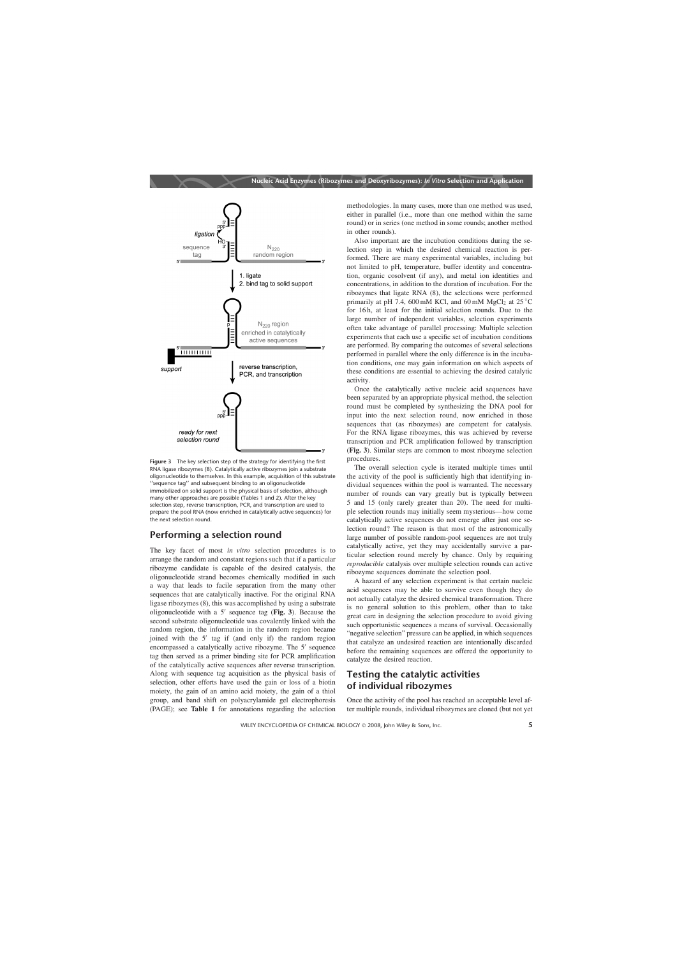

**Figure 3** The key selection step of the strategy for identifying the first RNA ligase ribozymes (8). Catalytically active ribozymes join a substrate oligonucleotide to themselves. In this example, acquisition of this substrate ''sequence tag'' and subsequent binding to an oligonucleotide immobilized on solid support is the physical basis of selection, although many other approaches are possible (Tables 1 and 2). After the key selection step, reverse transcription, PCR, and transcription are used to prepare the pool RNA (now enriched in catalytically active sequences) for the next selection round.

#### **Performing a selection round**

The key facet of most *in vitro* selection procedures is to arrange the random and constant regions such that if a particular ribozyme candidate is capable of the desired catalysis, the oligonucleotide strand becomes chemically modified in such a way that leads to facile separation from the many other sequences that are catalytically inactive. For the original RNA ligase ribozymes (8), this was accomplished by using a substrate oligonucleotide with a  $5'$  sequence tag (Fig. 3). Because the second substrate oligonucleotide was covalently linked with the random region, the information in the random region became joined with the 5' tag if (and only if) the random region encompassed a catalytically active ribozyme. The 5' sequence tag then served as a primer binding site for PCR amplification of the catalytically active sequences after reverse transcription. Along with sequence tag acquisition as the physical basis of selection, other efforts have used the gain or loss of a biotin moiety, the gain of an amino acid moiety, the gain of a thiol group, and band shift on polyacrylamide gel electrophoresis (PAGE); see **Table 1** for annotations regarding the selection methodologies. In many cases, more than one method was used, either in parallel (i.e., more than one method within the same round) or in series (one method in some rounds; another method in other rounds).

Also important are the incubation conditions during the selection step in which the desired chemical reaction is performed. There are many experimental variables, including but not limited to pH, temperature, buffer identity and concentration, organic cosolvent (if any), and metal ion identities and concentrations, in addition to the duration of incubation. For the ribozymes that ligate RNA (8), the selections were performed primarily at pH 7.4, 600 mM KCl, and 60 mM  $MgCl<sub>2</sub>$  at 25  $^{\circ}$ C for 16 h, at least for the initial selection rounds. Due to the large number of independent variables, selection experiments often take advantage of parallel processing: Multiple selection experiments that each use a specific set of incubation conditions are performed. By comparing the outcomes of several selections performed in parallel where the only difference is in the incubation conditions, one may gain information on which aspects of these conditions are essential to achieving the desired catalytic activity.

Once the catalytically active nucleic acid sequences have been separated by an appropriate physical method, the selection round must be completed by synthesizing the DNA pool for input into the next selection round, now enriched in those sequences that (as ribozymes) are competent for catalysis. For the RNA ligase ribozymes, this was achieved by reverse transcription and PCR amplification followed by transcription (**Fig. 3**). Similar steps are common to most ribozyme selection procedures.

The overall selection cycle is iterated multiple times until the activity of the pool is sufficiently high that identifying individual sequences within the pool is warranted. The necessary number of rounds can vary greatly but is typically between 5 and 15 (only rarely greater than 20). The need for multiple selection rounds may initially seem mysterious—how come catalytically active sequences do not emerge after just one selection round? The reason is that most of the astronomically large number of possible random-pool sequences are not truly catalytically active, yet they may accidentally survive a particular selection round merely by chance. Only by requiring *reproducible* catalysis over multiple selection rounds can active ribozyme sequences dominate the selection pool.

A hazard of any selection experiment is that certain nucleic acid sequences may be able to survive even though they do not actually catalyze the desired chemical transformation. There is no general solution to this problem, other than to take great care in designing the selection procedure to avoid giving such opportunistic sequences a means of survival. Occasionally "negative selection" pressure can be applied, in which sequences that catalyze an undesired reaction are intentionally discarded before the remaining sequences are offered the opportunity to catalyze the desired reaction.

#### **Testing the catalytic activities of individual ribozymes**

Once the activity of the pool has reached an acceptable level after multiple rounds, individual ribozymes are cloned (but not yet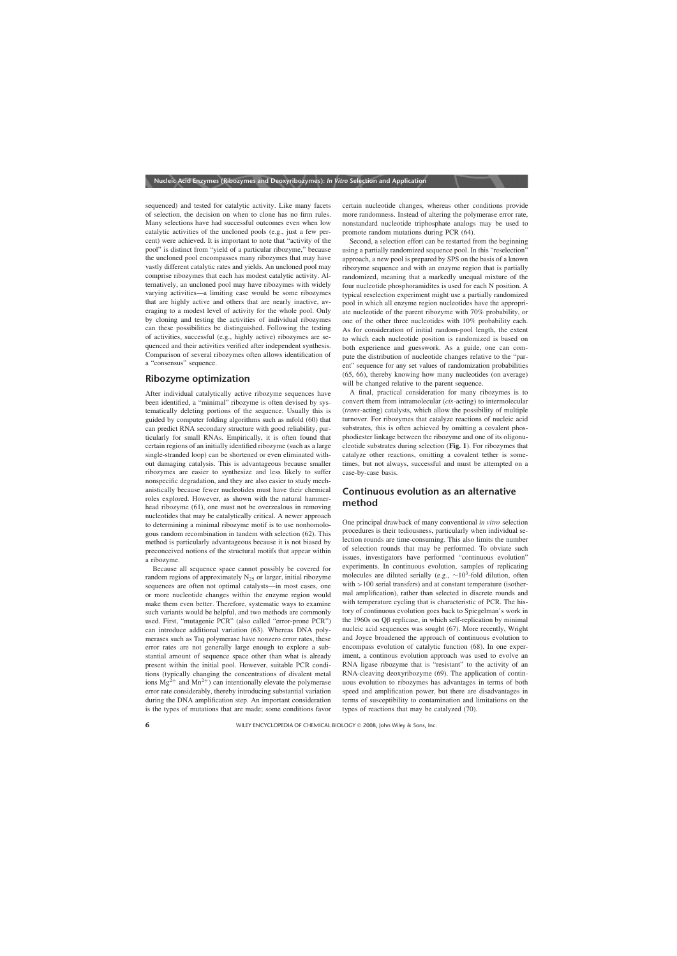sequenced) and tested for catalytic activity. Like many facets of selection, the decision on when to clone has no firm rules. Many selections have had successful outcomes even when low catalytic activities of the uncloned pools (e.g., just a few percent) were achieved. It is important to note that "activity of the pool" is distinct from "yield of a particular ribozyme," because the uncloned pool encompasses many ribozymes that may have vastly different catalytic rates and yields. An uncloned pool may comprise ribozymes that each has modest catalytic activity. Alternatively, an uncloned pool may have ribozymes with widely varying activities—a limiting case would be some ribozymes that are highly active and others that are nearly inactive, averaging to a modest level of activity for the whole pool. Only by cloning and testing the activities of individual ribozymes can these possibilities be distinguished. Following the testing of activities, successful (e.g., highly active) ribozymes are sequenced and their activities verified after independent synthesis. Comparison of several ribozymes often allows identification of a "consensus" sequence.

#### **Ribozyme optimization**

After individual catalytically active ribozyme sequences have been identified, a "minimal" ribozyme is often devised by systematically deleting portions of the sequence. Usually this is guided by computer folding algorithms such as mfold (60) that can predict RNA secondary structure with good reliability, particularly for small RNAs. Empirically, it is often found that certain regions of an initially identified ribozyme (such as a large single-stranded loop) can be shortened or even eliminated without damaging catalysis. This is advantageous because smaller ribozymes are easier to synthesize and less likely to suffer nonspecific degradation, and they are also easier to study mechanistically because fewer nucleotides must have their chemical roles explored. However, as shown with the natural hammerhead ribozyme (61), one must not be overzealous in removing nucleotides that may be catalytically critical. A newer approach to determining a minimal ribozyme motif is to use nonhomologous random recombination in tandem with selection (62). This method is particularly advantageous because it is not biased by preconceived notions of the structural motifs that appear within a ribozyme.

Because all sequence space cannot possibly be covered for random regions of approximately  $N_{25}$  or larger, initial ribozyme sequences are often not optimal catalysts—in most cases, one or more nucleotide changes within the enzyme region would make them even better. Therefore, systematic ways to examine such variants would be helpful, and two methods are commonly used. First, "mutagenic PCR" (also called "error-prone PCR") can introduce additional variation (63). Whereas DNA polymerases such as Taq polymerase have nonzero error rates, these error rates are not generally large enough to explore a substantial amount of sequence space other than what is already present within the initial pool. However, suitable PCR conditions (typically changing the concentrations of divalent metal ions  $Mg^{2+}$  and  $Mn^{2+}$ ) can intentionally elevate the polymerase error rate considerably, thereby introducing substantial variation during the DNA amplification step. An important consideration is the types of mutations that are made; some conditions favor certain nucleotide changes, whereas other conditions provide more randomness. Instead of altering the polymerase error rate, nonstandard nucleotide triphosphate analogs may be used to promote random mutations during PCR (64).

Second, a selection effort can be restarted from the beginning using a partially randomized sequence pool. In this "reselection" approach, a new pool is prepared by SPS on the basis of a known ribozyme sequence and with an enzyme region that is partially randomized, meaning that a markedly unequal mixture of the four nucleotide phosphoramidites is used for each N position. A typical reselection experiment might use a partially randomized pool in which all enzyme region nucleotides have the appropriate nucleotide of the parent ribozyme with 70% probability, or one of the other three nucleotides with 10% probability each. As for consideration of initial random-pool length, the extent to which each nucleotide position is randomized is based on both experience and guesswork. As a guide, one can compute the distribution of nucleotide changes relative to the "parent" sequence for any set values of randomization probabilities (65, 66), thereby knowing how many nucleotides (on average) will be changed relative to the parent sequence.

A final, practical consideration for many ribozymes is to convert them from intramolecular (*cis*-acting) to intermolecular (*trans*-acting) catalysts, which allow the possibility of multiple turnover. For ribozymes that catalyze reactions of nucleic acid substrates, this is often achieved by omitting a covalent phosphodiester linkage between the ribozyme and one of its oligonucleotide substrates during selection (**Fig. 1**). For ribozymes that catalyze other reactions, omitting a covalent tether is sometimes, but not always, successful and must be attempted on a case-by-case basis.

### **Continuous evolution as an alternative method**

One principal drawback of many conventional *in vitro* selection procedures is their tediousness, particularly when individual selection rounds are time-consuming. This also limits the number of selection rounds that may be performed. To obviate such issues, investigators have performed "continuous evolution" experiments. In continuous evolution, samples of replicating molecules are diluted serially (e.g.,  $\sim 10^3$ -fold dilution, often with *>*100 serial transfers) and at constant temperature (isothermal amplification), rather than selected in discrete rounds and with temperature cycling that is characteristic of PCR. The history of continuous evolution goes back to Spiegelman's work in the 1960s on Qβ replicase, in which self-replication by minimal nucleic acid sequences was sought (67). More recently, Wright and Joyce broadened the approach of continuous evolution to encompass evolution of catalytic function (68). In one experiment, a continous evolution approach was used to evolve an RNA ligase ribozyme that is "resistant" to the activity of an RNA-cleaving deoxyribozyme (69). The application of continuous evolution to ribozymes has advantages in terms of both speed and amplification power, but there are disadvantages in terms of susceptibility to contamination and limitations on the types of reactions that may be catalyzed (70).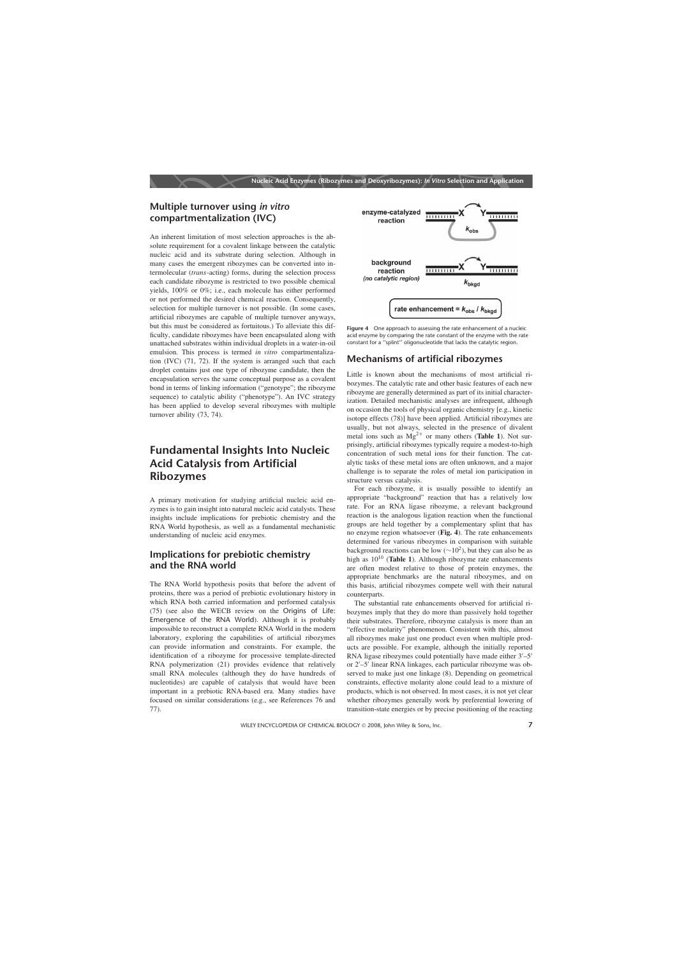# **Multiple turnover using** *in vitro* **compartmentalization (IVC)**

An inherent limitation of most selection approaches is the absolute requirement for a covalent linkage between the catalytic nucleic acid and its substrate during selection. Although in many cases the emergent ribozymes can be converted into intermolecular (*trans*-acting) forms, during the selection process each candidate ribozyme is restricted to two possible chemical yields, 100% or 0%; i.e., each molecule has either performed or not performed the desired chemical reaction. Consequently, selection for multiple turnover is not possible. (In some cases, artificial ribozymes are capable of multiple turnover anyways, but this must be considered as fortuitous.) To alleviate this difficulty, candidate ribozymes have been encapsulated along with unattached substrates within individual droplets in a water-in-oil emulsion. This process is termed *in vitro* compartmentalization (IVC) (71, 72). If the system is arranged such that each droplet contains just one type of ribozyme candidate, then the encapsulation serves the same conceptual purpose as a covalent bond in terms of linking information ("genotype"; the ribozyme sequence) to catalytic ability ("phenotype"). An IVC strategy has been applied to develop several ribozymes with multiple turnover ability (73, 74).

# **Fundamental Insights Into Nucleic Acid Catalysis from Artificial Ribozymes**

A primary motivation for studying artificial nucleic acid enzymes is to gain insight into natural nucleic acid catalysts. These insights include implications for prebiotic chemistry and the RNA World hypothesis, as well as a fundamental mechanistic understanding of nucleic acid enzymes.

### **Implications for prebiotic chemistry and the RNA world**

The RNA World hypothesis posits that before the advent of proteins, there was a period of prebiotic evolutionary history in which RNA both carried information and performed catalysis (75) (see also the WECB review on the Origins of Life: Emergence of the RNA World). Although it is probably impossible to reconstruct a complete RNA World in the modern laboratory, exploring the capabilities of artificial ribozymes can provide information and constraints. For example, the identification of a ribozyme for processive template-directed RNA polymerization (21) provides evidence that relatively small RNA molecules (although they do have hundreds of nucleotides) are capable of catalysis that would have been important in a prebiotic RNA-based era. Many studies have focused on similar considerations (e.g., see References 76 and 77).



**Figure 4** One approach to assessing the rate enhancement of a nucleic acid enzyme by comparing the rate constant of the enzyme with the rate constant for a ''splint'' oligonucleotide that lacks the catalytic region.

#### **Mechanisms of artificial ribozymes**

Little is known about the mechanisms of most artificial ribozymes. The catalytic rate and other basic features of each new ribozyme are generally determined as part of its initial characterization. Detailed mechanistic analyses are infrequent, although on occasion the tools of physical organic chemistry [e.g., kinetic isotope effects (78)] have been applied. Artificial ribozymes are usually, but not always, selected in the presence of divalent metal ions such as  $Mg^{2+}$  or many others (**Table 1**). Not surprisingly, artificial ribozymes typically require a modest-to-high concentration of such metal ions for their function. The catalytic tasks of these metal ions are often unknown, and a major challenge is to separate the roles of metal ion participation in structure versus catalysis.

For each ribozyme, it is usually possible to identify an appropriate "background" reaction that has a relatively low rate. For an RNA ligase ribozyme, a relevant background reaction is the analogous ligation reaction when the functional groups are held together by a complementary splint that has no enzyme region whatsoever (**Fig. 4**). The rate enhancements determined for various ribozymes in comparison with suitable background reactions can be low ( $\sim$ 10<sup>2</sup>), but they can also be as high as  $10^{10}$  (Table 1). Although ribozyme rate enhancements are often modest relative to those of protein enzymes, the appropriate benchmarks are the natural ribozymes, and on this basis, artificial ribozymes compete well with their natural counterparts.

The substantial rate enhancements observed for artificial ribozymes imply that they do more than passively hold together their substrates. Therefore, ribozyme catalysis is more than an "effective molarity" phenomenon. Consistent with this, almost all ribozymes make just one product even when multiple products are possible. For example, although the initially reported RNA ligase ribozymes could potentially have made either  $3'$ -5' or 2 –5 linear RNA linkages, each particular ribozyme was observed to make just one linkage (8). Depending on geometrical constraints, effective molarity alone could lead to a mixture of products, which is not observed. In most cases, it is not yet clear whether ribozymes generally work by preferential lowering of transition-state energies or by precise positioning of the reacting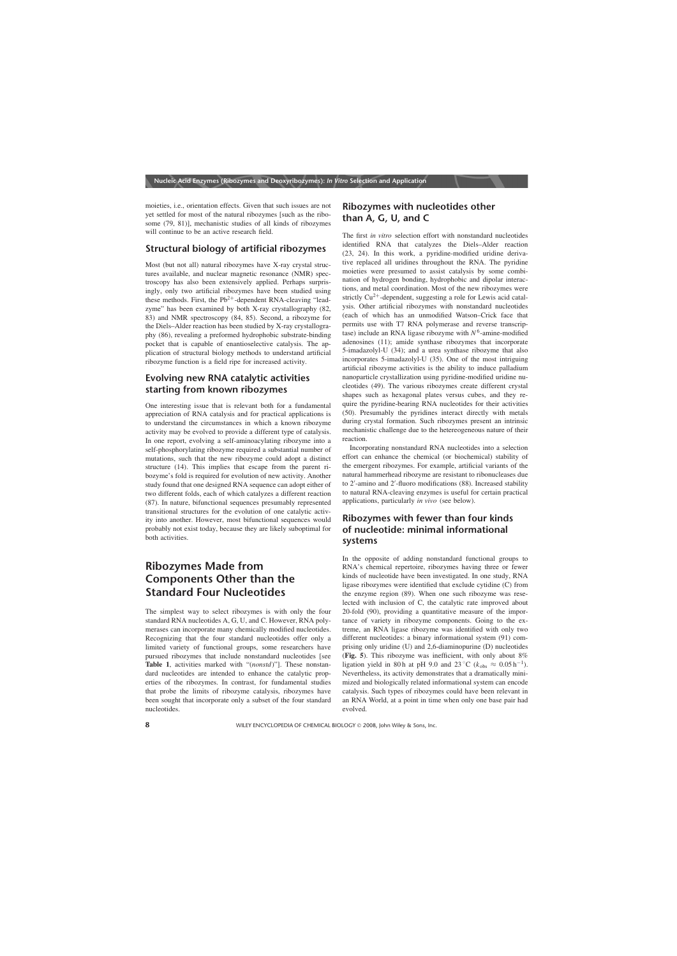moieties, i.e., orientation effects. Given that such issues are not yet settled for most of the natural ribozymes [such as the ribosome (79, 81)], mechanistic studies of all kinds of ribozymes will continue to be an active research field.

#### **Structural biology of artificial ribozymes**

Most (but not all) natural ribozymes have X-ray crystal structures available, and nuclear magnetic resonance (NMR) spectroscopy has also been extensively applied. Perhaps surprisingly, only two artificial ribozymes have been studied using these methods. First, the  $Pb^{2+}$ -dependent RNA-cleaving "leadzyme" has been examined by both X-ray crystallography (82, 83) and NMR spectroscopy (84, 85). Second, a ribozyme for the Diels–Alder reaction has been studied by X-ray crystallography (86), revealing a preformed hydrophobic substrate-binding pocket that is capable of enantioselective catalysis. The application of structural biology methods to understand artificial ribozyme function is a field ripe for increased activity.

### **Evolving new RNA catalytic activities starting from known ribozymes**

One interesting issue that is relevant both for a fundamental appreciation of RNA catalysis and for practical applications is to understand the circumstances in which a known ribozyme activity may be evolved to provide a different type of catalysis. In one report, evolving a self-aminoacylating ribozyme into a self-phosphorylating ribozyme required a substantial number of mutations, such that the new ribozyme could adopt a distinct structure (14). This implies that escape from the parent ribozyme's fold is required for evolution of new activity. Another study found that one designed RNA sequence can adopt either of two different folds, each of which catalyzes a different reaction (87). In nature, bifunctional sequences presumably represented transitional structures for the evolution of one catalytic activity into another. However, most bifunctional sequences would probably not exist today, because they are likely suboptimal for both activities.

# **Ribozymes Made from Components Other than the Standard Four Nucleotides**

The simplest way to select ribozymes is with only the four standard RNA nucleotides A, G, U, and C. However, RNA polymerases can incorporate many chemically modified nucleotides. Recognizing that the four standard nucleotides offer only a limited variety of functional groups, some researchers have pursued ribozymes that include nonstandard nucleotides [see **Table 1**, activities marked with "(*nonstd*)"]. These nonstandard nucleotides are intended to enhance the catalytic properties of the ribozymes. In contrast, for fundamental studies that probe the limits of ribozyme catalysis, ribozymes have been sought that incorporate only a subset of the four standard nucleotides.

### **Ribozymes with nucleotides other than A, G, U, and C**

The first *in vitro* selection effort with nonstandard nucleotides identified RNA that catalyzes the Diels–Alder reaction (23, 24). In this work, a pyridine-modified uridine derivative replaced all uridines throughout the RNA. The pyridine moieties were presumed to assist catalysis by some combination of hydrogen bonding, hydrophobic and dipolar interactions, and metal coordination. Most of the new ribozymes were strictly  $Cu^{2+}$ -dependent, suggesting a role for Lewis acid catalysis. Other artificial ribozymes with nonstandard nucleotides (each of which has an unmodified Watson–Crick face that permits use with T7 RNA polymerase and reverse transcriptase) include an RNA ligase ribozyme with  $N<sup>6</sup>$ -amine-modified adenosines (11); amide synthase ribozymes that incorporate 5-imadazolyl-U (34); and a urea synthase ribozyme that also incorporates 5-imadazolyl-U (35). One of the most intriguing artificial ribozyme activities is the ability to induce palladium nanoparticle crystallization using pyridine-modified uridine nucleotides (49). The various ribozymes create different crystal shapes such as hexagonal plates versus cubes, and they require the pyridine-bearing RNA nucleotides for their activities (50). Presumably the pyridines interact directly with metals during crystal formation. Such ribozymes present an intrinsic mechanistic challenge due to the hetereogeneous nature of their reaction.

Incorporating nonstandard RNA nucleotides into a selection effort can enhance the chemical (or biochemical) stability of the emergent ribozymes. For example, artificial variants of the natural hammerhead ribozyme are resistant to ribonucleases due to 2 -amino and 2 -fluoro modifications (88). Increased stability to natural RNA-cleaving enzymes is useful for certain practical applications, particularly *in vivo* (see below).

# **Ribozymes with fewer than four kinds of nucleotide: minimal informational systems**

In the opposite of adding nonstandard functional groups to RNA's chemical repertoire, ribozymes having three or fewer kinds of nucleotide have been investigated. In one study, RNA ligase ribozymes were identified that exclude cytidine (C) from the enzyme region (89). When one such ribozyme was reselected with inclusion of C, the catalytic rate improved about 20-fold (90), providing a quantitative measure of the importance of variety in ribozyme components. Going to the extreme, an RNA ligase ribozyme was identified with only two different nucleotides: a binary informational system (91) comprising only uridine (U) and 2,6-diaminopurine (D) nucleotides (**Fig. 5**). This ribozyme was inefficient, with only about 8% ligation yield in 80 h at pH 9.0 and 23 °C ( $k_{obs} \approx 0.05 \text{ h}^{-1}$ ). Nevertheless, its activity demonstrates that a dramatically minimized and biologically related informational system can encode catalysis. Such types of ribozymes could have been relevant in an RNA World, at a point in time when only one base pair had evolved.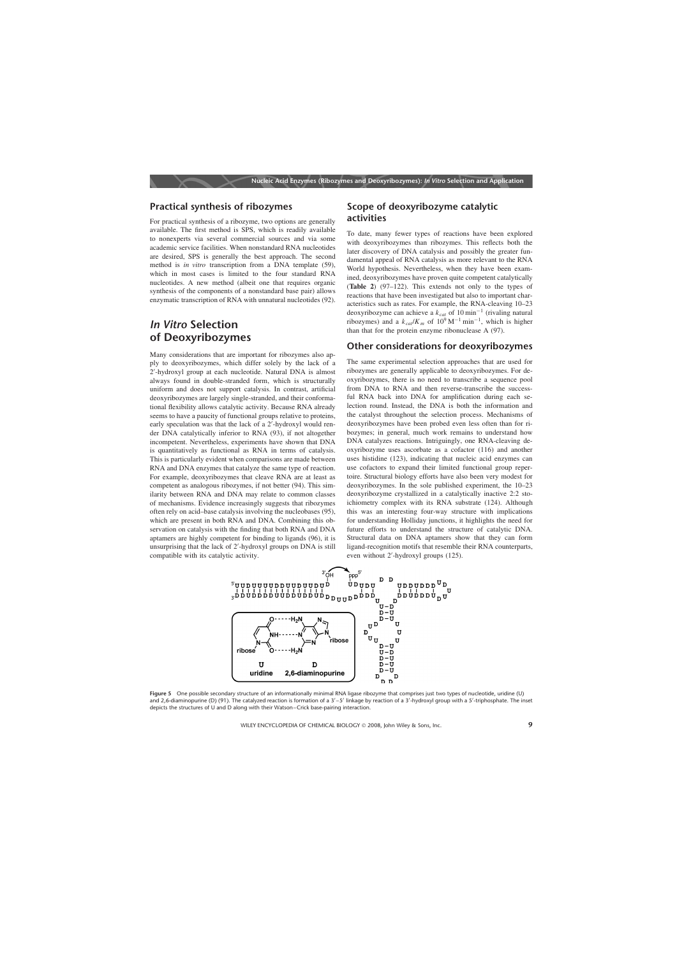#### **Practical synthesis of ribozymes**

For practical synthesis of a ribozyme, two options are generally available. The first method is SPS, which is readily available to nonexperts via several commercial sources and via some academic service facilities. When nonstandard RNA nucleotides are desired, SPS is generally the best approach. The second method is *in vitro* transcription from a DNA template (59), which in most cases is limited to the four standard RNA nucleotides. A new method (albeit one that requires organic synthesis of the components of a nonstandard base pair) allows enzymatic transcription of RNA with unnatural nucleotides (92).

# *In Vitro* **Selection of Deoxyribozymes**

Many considerations that are important for ribozymes also apply to deoxyribozymes, which differ solely by the lack of a 2 -hydroxyl group at each nucleotide. Natural DNA is almost always found in double-stranded form, which is structurally uniform and does not support catalysis. In contrast, artificial deoxyribozymes are largely single-stranded, and their conformational flexibility allows catalytic activity. Because RNA already seems to have a paucity of functional groups relative to proteins, early speculation was that the lack of a 2'-hydroxyl would render DNA catalytically inferior to RNA (93), if not altogether incompetent. Nevertheless, experiments have shown that DNA is quantitatively as functional as RNA in terms of catalysis. This is particularly evident when comparisons are made between RNA and DNA enzymes that catalyze the same type of reaction. For example, deoxyribozymes that cleave RNA are at least as competent as analogous ribozymes, if not better (94). This similarity between RNA and DNA may relate to common classes of mechanisms. Evidence increasingly suggests that ribozymes often rely on acid–base catalysis involving the nucleobases (95), which are present in both RNA and DNA. Combining this observation on catalysis with the finding that both RNA and DNA aptamers are highly competent for binding to ligands (96), it is unsurprising that the lack of 2 -hydroxyl groups on DNA is still compatible with its catalytic activity.

### **Scope of deoxyribozyme catalytic activities**

To date, many fewer types of reactions have been explored with deoxyribozymes than ribozymes. This reflects both the later discovery of DNA catalysis and possibly the greater fundamental appeal of RNA catalysis as more relevant to the RNA World hypothesis. Nevertheless, when they have been examined, deoxyribozymes have proven quite competent catalytically (**Table 2**) (97–122). This extends not only to the types of reactions that have been investigated but also to important characteristics such as rates. For example, the RNA-cleaving 10–23 deoxyribozyme can achieve a *kcat* of 10 min−<sup>1</sup> (rivaling natural ribozymes) and a  $k_{cat}/K_m$  of  $10^9$  M<sup>-1</sup> min<sup>-1</sup>, which is higher than that for the protein enzyme ribonuclease A (97).

#### **Other considerations for deoxyribozymes**

The same experimental selection approaches that are used for ribozymes are generally applicable to deoxyribozymes. For deoxyribozymes, there is no need to transcribe a sequence pool from DNA to RNA and then reverse-transcribe the successful RNA back into DNA for amplification during each selection round. Instead, the DNA is both the information and the catalyst throughout the selection process. Mechanisms of deoxyribozymes have been probed even less often than for ribozymes; in general, much work remains to understand how DNA catalyzes reactions. Intriguingly, one RNA-cleaving deoxyribozyme uses ascorbate as a cofactor (116) and another uses histidine (123), indicating that nucleic acid enzymes can use cofactors to expand their limited functional group repertoire. Structural biology efforts have also been very modest for deoxyribozymes. In the sole published experiment, the 10–23 deoxyribozyme crystallized in a catalytically inactive 2:2 stoichiometry complex with its RNA substrate (124). Although this was an interesting four-way structure with implications for understanding Holliday junctions, it highlights the need for future efforts to understand the structure of catalytic DNA. Structural data on DNA aptamers show that they can form ligand-recognition motifs that resemble their RNA counterparts, even without 2 -hydroxyl groups (125).



**Figure 5** One possible secondary structure of an informationally minimal RNA ligase ribozyme that comprises just two types of nucleotide, uridine (U) and 2,6-diaminopurine (D) (91). The catalyzed reaction is formation of a 3'–5' linkage by reaction of a 3'-hydroxyl group with a 5'-triphosphate. The inset depicts the structures of U and D along with their Watson–Crick base-pairing interaction.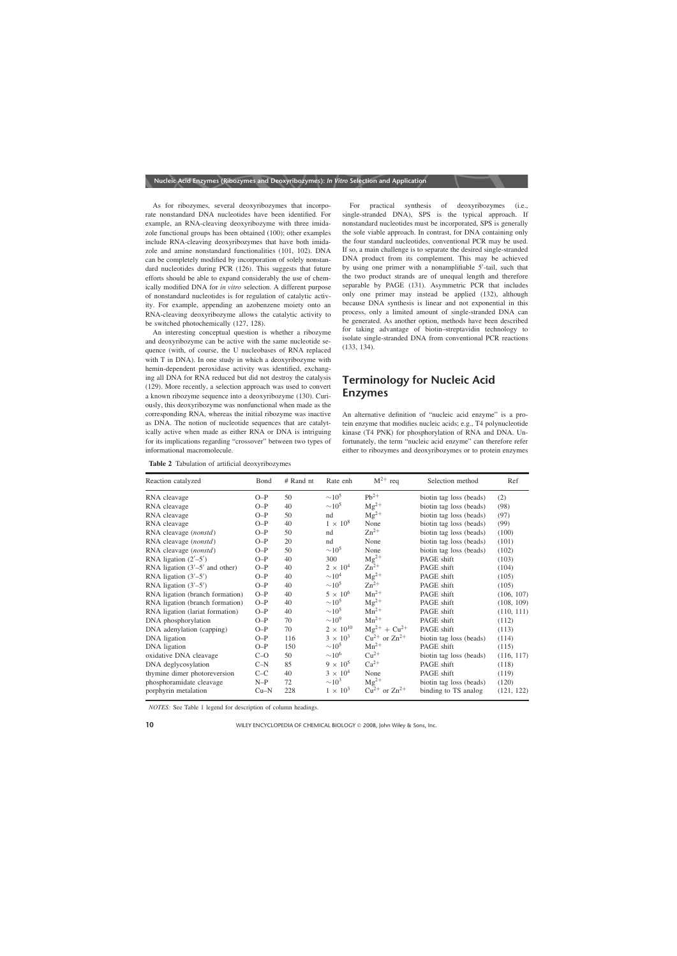As for ribozymes, several deoxyribozymes that incorporate nonstandard DNA nucleotides have been identified. For example, an RNA-cleaving deoxyribozyme with three imidazole functional groups has been obtained (100); other examples include RNA-cleaving deoxyribozymes that have both imidazole and amine nonstandard functionalities (101, 102). DNA can be completely modified by incorporation of solely nonstandard nucleotides during PCR (126). This suggests that future efforts should be able to expand considerably the use of chemically modified DNA for *in vitro* selection. A different purpose of nonstandard nucleotides is for regulation of catalytic activity. For example, appending an azobenzene moiety onto an RNA-cleaving deoxyribozyme allows the catalytic activity to be switched photochemically (127, 128).

An interesting conceptual question is whether a ribozyme and deoxyribozyme can be active with the same nucleotide sequence (with, of course, the U nucleobases of RNA replaced with T in DNA). In one study in which a deoxyribozyme with hemin-dependent peroxidase activity was identified, exchanging all DNA for RNA reduced but did not destroy the catalysis (129). More recently, a selection approach was used to convert a known ribozyme sequence into a deoxyribozyme (130). Curiously, this deoxyribozyme was nonfunctional when made as the corresponding RNA, whereas the initial ribozyme was inactive as DNA. The notion of nucleotide sequences that are catalytically active when made as either RNA or DNA is intriguing for its implications regarding "crossover" between two types of informational macromolecule.

For practical synthesis of deoxyribozymes (i.e., single-stranded DNA), SPS is the typical approach. If nonstandard nucleotides must be incorporated, SPS is generally the sole viable approach. In contrast, for DNA containing only the four standard nucleotides, conventional PCR may be used. If so, a main challenge is to separate the desired single-stranded DNA product from its complement. This may be achieved by using one primer with a nonamplifiable 5 -tail, such that the two product strands are of unequal length and therefore separable by PAGE (131). Asymmetric PCR that includes only one primer may instead be applied (132), although because DNA synthesis is linear and not exponential in this process, only a limited amount of single-stranded DNA can be generated. As another option, methods have been described for taking advantage of biotin–streptavidin technology to isolate single-stranded DNA from conventional PCR reactions (133, 134).

# **Terminology for Nucleic Acid Enzymes**

An alternative definition of "nucleic acid enzyme" is a protein enzyme that modifies nucleic acids; e.g., T4 polynucleotide kinase (T4 PNK) for phosphorylation of RNA and DNA. Unfortunately, the term "nucleic acid enzyme" can therefore refer either to ribozymes and deoxyribozymes or to protein enzymes

**Table 2** Tabulation of artificial deoxyribozymes

| Reaction catalyzed                     | Bond   | # Rand nt | Rate enh               | $M^{2+}$ req           | Selection method        | Ref        |  |  |  |  |
|----------------------------------------|--------|-----------|------------------------|------------------------|-------------------------|------------|--|--|--|--|
| RNA cleavage                           | $O-P$  | 50        | $\sim$ 10 <sup>5</sup> | $Pb^{2+}$              | biotin tag loss (beads) | (2)        |  |  |  |  |
| RNA cleavage                           | $O-P$  | 40        | $\sim$ 10 <sup>5</sup> | $Mg^{2+}$              | biotin tag loss (beads) | (98)       |  |  |  |  |
| RNA cleavage                           | $O-P$  | 50        | nd                     | $Mg^{2+}$              | biotin tag loss (beads) | (97)       |  |  |  |  |
| RNA cleavage                           | $O-P$  | 40        | $1 \times 10^8$        | None                   | biotin tag loss (beads) | (99)       |  |  |  |  |
| RNA cleavage (nonstd)                  | $O-P$  | 50        | nd                     | $\rm Zn^{2+}$          | biotin tag loss (beads) | (100)      |  |  |  |  |
| RNA cleavage (nonstd)                  | $O-P$  | 20        | nd                     | None                   | biotin tag loss (beads) | (101)      |  |  |  |  |
| RNA cleavage ( <i>nonstd</i> )         | $O-P$  | 50        | $\sim$ 10 <sup>5</sup> | None                   | biotin tag loss (beads) | (102)      |  |  |  |  |
| RNA ligation $(2^{\prime}-5^{\prime})$ | $O-P$  | 40        | 300                    | $Mg^{2+}$              | PAGE shift              | (103)      |  |  |  |  |
| RNA ligation $(3'-5'$ and other)       | $O-P$  | 40        | $2 \times 10^{4}$      | $\rm Zn^{2+}$          | PAGE shift              | (104)      |  |  |  |  |
| RNA ligation $(3'–5')$                 | $O-P$  | 40        | $\sim$ 10 <sup>4</sup> | $Mg^{2+}$              | PAGE shift              | (105)      |  |  |  |  |
| RNA ligation $(3'–5')$                 | $O-P$  | 40        | $\sim$ 10 <sup>5</sup> | $\rm Zn^{2+}$          | PAGE shift              | (105)      |  |  |  |  |
| RNA ligation (branch formation)        | $O-P$  | 40        | $5 \times 10^6$        | $Mn^{2+}$              | PAGE shift              | (106, 107) |  |  |  |  |
| RNA ligation (branch formation)        | $O-P$  | 40        | $\sim\!\!10^5$         | $Mg^{2+}$              | PAGE shift              | (108, 109) |  |  |  |  |
| RNA ligation (lariat formation)        | $O-P$  | 40        | $\sim\!\!10^5$         | $Mn^{2+}$              | PAGE shift              | (110, 111) |  |  |  |  |
| DNA phosphorylation                    | $O-P$  | 70        | $\sim$ 10 <sup>9</sup> | $Mn^{2+}$              | PAGE shift              | (112)      |  |  |  |  |
| DNA adenylation (capping)              | $O-P$  | 70        | $2 \times 10^{10}$     | $Mg^{2+} + Cu^{2+}$    | PAGE shift              | (113)      |  |  |  |  |
| DNA ligation                           | $O-P$  | 116       | $3 \times 10^3$        | $Cu^{2+}$ or $Zn^{2+}$ | biotin tag loss (beads) | (114)      |  |  |  |  |
| DNA ligation                           | $O-P$  | 150       | $\sim\!\!10^5$         | $Mn^{2+}$              | PAGE shift              | (115)      |  |  |  |  |
| oxidative DNA cleavage                 | $C-O$  | 50        | $\sim$ 10 <sup>6</sup> | $Cu2+$                 | biotin tag loss (beads) | (116, 117) |  |  |  |  |
| DNA deglycosylation                    | $C-N$  | 85        | $9 \times 10^5$        | $Ca^{2+}$              | PAGE shift              | (118)      |  |  |  |  |
| thymine dimer photoreversion           | $C-C$  | 40        | $3 \times 10^{4}$      | None                   | PAGE shift              | (119)      |  |  |  |  |
| phosphoramidate cleavage               | $N-P$  | 72        | $\sim\!10^3$           | $Mg^{2+}$              | biotin tag loss (beads) | (120)      |  |  |  |  |
| porphyrin metalation                   | $Cu-N$ | 228       | $1 \times 10^3$        | $Cu^{2+}$ or $Zn^{2+}$ | binding to TS analog    | (121, 122) |  |  |  |  |

*NOTES:* See Table 1 legend for description of column headings.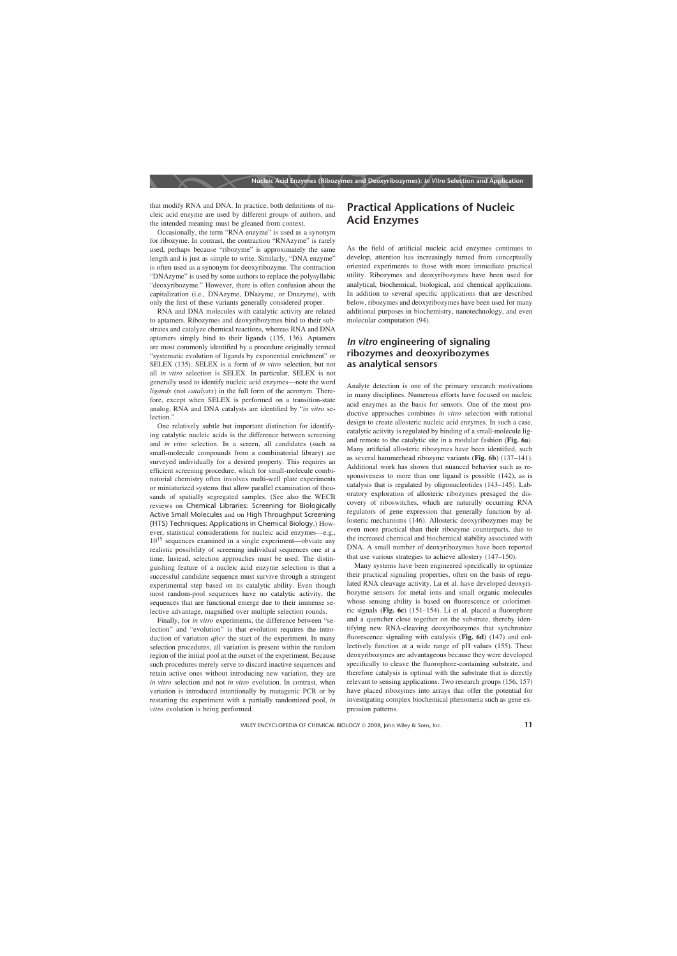that modify RNA and DNA. In practice, both definitions of nucleic acid enzyme are used by different groups of authors, and the intended meaning must be gleaned from context.

Occasionally, the term "RNA enzyme" is used as a synonym for ribozyme. In contrast, the contraction "RNAzyme" is rarely used, perhaps because "ribozyme" is approximately the same length and is just as simple to write. Similarly, "DNA enzyme" is often used as a synonym for deoxyribozyme. The contraction "DNAzyme" is used by some authors to replace the polysyllabic "deoxyribozyme." However, there is often confusion about the capitalization (i.e., DNAzyme, DNazyme, or Dnazyme), with only the first of these variants generally considered proper.

RNA and DNA molecules with catalytic activity are related to aptamers. Ribozymes and deoxyribozymes bind to their substrates and catalyze chemical reactions, whereas RNA and DNA aptamers simply bind to their ligands (135, 136). Aptamers are most commonly identified by a procedure originally termed "systematic evolution of ligands by exponential enrichment" or SELEX (135). SELEX is a form of *in vitro* selection, but not all *in vitro* selection is SELEX. In particular, SELEX is not generally used to identify nucleic acid enzymes—note the word *ligands* (not *catalysts*) in the full form of the acronym. Therefore, except when SELEX is performed on a transition-state analog, RNA and DNA catalysts are identified by "*in vitro* selection."

One relatively subtle but important distinction for identifying catalytic nucleic acids is the difference between screening and *in vitro* selection. In a screen, all candidates (such as small-molecule compounds from a combinatorial library) are surveyed individually for a desired property. This requires an efficient screening procedure, which for small-molecule combinatorial chemistry often involves multi-well plate experiments or miniaturized systems that allow parallel examination of thousands of spatially segregated samples. (See also the WECB reviews on Chemical Libraries: Screening for Biologically Active Small Molecules and on High Throughput Screening (HTS) Techniques: Applications in Chemical Biology.) However, statistical considerations for nucleic acid enzymes—e.g.,  $10^{15}$  sequences examined in a single experiment—obviate any realistic possibility of screening individual sequences one at a time. Instead, selection approaches must be used. The distinguishing feature of a nucleic acid enzyme selection is that a successful candidate sequence must survive through a stringent experimental step based on its catalytic ability. Even though most random-pool sequences have no catalytic activity, the sequences that are functional emerge due to their immense selective advantage, magnified over multiple selection rounds.

Finally, for *in vitro* experiments, the difference between "selection" and "evolution" is that evolution requires the introduction of variation *after* the start of the experiment. In many selection procedures, all variation is present within the random region of the initial pool at the outset of the experiment. Because such procedures merely serve to discard inactive sequences and retain active ones without introducing new variation, they are *in vitro* selection and not *in vitro* evolution. In contrast, when variation is introduced intentionally by mutagenic PCR or by restarting the experiment with a partially randomized pool, *in vitro* evolution is being performed.

# **Practical Applications of Nucleic Acid Enzymes**

As the field of artificial nucleic acid enzymes continues to develop, attention has increasingly turned from conceptually oriented experiments to those with more immediate practical utility. Ribozymes and deoxyribozymes have been used for analytical, biochemical, biological, and chemical applications. In addition to several specific applications that are described below, ribozymes and deoxyribozymes have been used for many additional purposes in biochemistry, nanotechnology, and even molecular computation (94).

# *In vitro* **engineering of signaling ribozymes and deoxyribozymes as analytical sensors**

Analyte detection is one of the primary research motivations in many disciplines. Numerous efforts have focused on nucleic acid enzymes as the basis for sensors. One of the most productive approaches combines *in vitro* selection with rational design to create allosteric nucleic acid enzymes. In such a case, catalytic activity is regulated by binding of a small-molecule ligand remote to the catalytic site in a modular fashion (**Fig. 6a**). Many artificial allosteric ribozymes have been identified, such as several hammerhead ribozyme variants (**Fig. 6b**) (137–141). Additional work has shown that nuanced behavior such as responsiveness to more than one ligand is possible (142), as is catalysis that is regulated by oligonucleotides (143–145). Laboratory exploration of allosteric ribozymes presaged the discovery of riboswitches, which are naturally occurring RNA regulators of gene expression that generally function by allosteric mechanisms (146). Allosteric deoxyribozymes may be even more practical than their ribozyme counterparts, due to the increased chemical and biochemical stability associated with DNA. A small number of deoxyribozymes have been reported that use various strategies to achieve allostery (147–150).

Many systems have been engineered specifically to optimize their practical signaling properties, often on the basis of regulated RNA cleavage activity. Lu et al. have developed deoxyribozyme sensors for metal ions and small organic molecules whose sensing ability is based on fluorescence or colorimetric signals (**Fig. 6c**) (151–154). Li et al. placed a fluorophore and a quencher close together on the substrate, thereby identifying new RNA-cleaving deoxyribozymes that synchronize fluorescence signaling with catalysis (**Fig. 6d**) (147) and collectively function at a wide range of pH values (155). These deoxyribozymes are advantageous because they were developed specifically to cleave the fluorophore-containing substrate, and therefore catalysis is optimal with the substrate that is directly relevant to sensing applications. Two research groups (156, 157) have placed ribozymes into arrays that offer the potential for investigating complex biochemical phenomena such as gene expression patterns.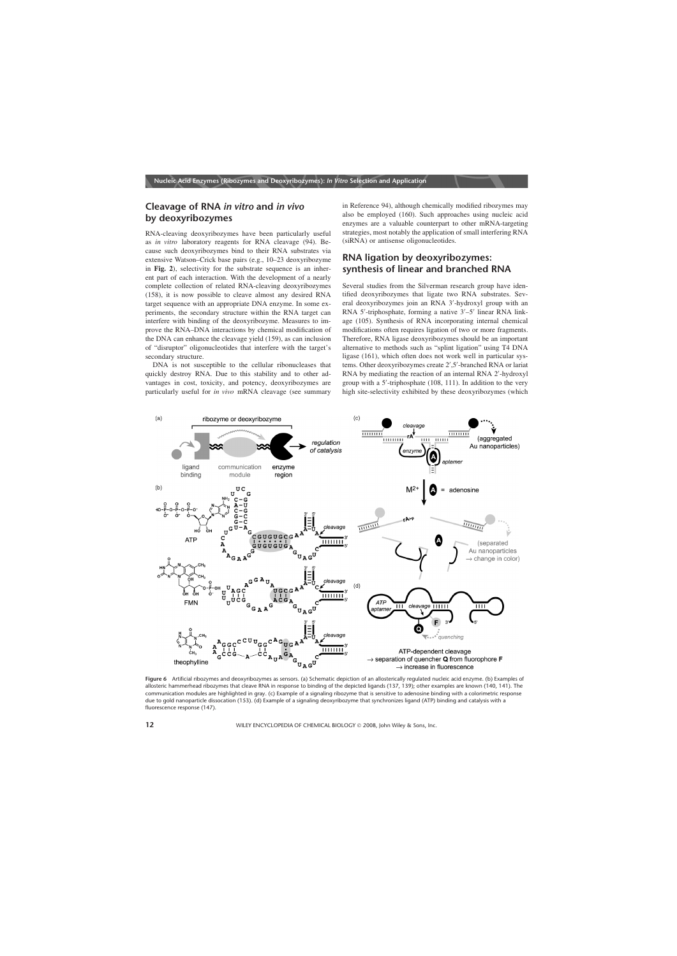### **Cleavage of RNA** *in vitro* **and** *in vivo* **by deoxyribozymes**

RNA-cleaving deoxyribozymes have been particularly useful as *in vitro* laboratory reagents for RNA cleavage (94). Because such deoxyribozymes bind to their RNA substrates via extensive Watson–Crick base pairs (e.g., 10–23 deoxyribozyme in **Fig. 2**), selectivity for the substrate sequence is an inherent part of each interaction. With the development of a nearly complete collection of related RNA-cleaving deoxyribozymes (158), it is now possible to cleave almost any desired RNA target sequence with an appropriate DNA enzyme. In some experiments, the secondary structure within the RNA target can interfere with binding of the deoxyribozyme. Measures to improve the RNA–DNA interactions by chemical modification of the DNA can enhance the cleavage yield (159), as can inclusion of "disruptor" oligonucleotides that interfere with the target's secondary structure.

DNA is not susceptible to the cellular ribonucleases that quickly destroy RNA. Due to this stability and to other advantages in cost, toxicity, and potency, deoxyribozymes are particularly useful for *in vivo* mRNA cleavage (see summary in Reference 94), although chemically modified ribozymes may also be employed (160). Such approaches using nucleic acid enzymes are a valuable counterpart to other mRNA-targeting strategies, most notably the application of small interfering RNA (siRNA) or antisense oligonucleotides.

### **RNA ligation by deoxyribozymes: synthesis of linear and branched RNA**

Several studies from the Silverman research group have identified deoxyribozymes that ligate two RNA substrates. Several deoxyribozymes join an RNA 3 -hydroxyl group with an RNA 5'-triphosphate, forming a native 3'-5' linear RNA linkage (105). Synthesis of RNA incorporating internal chemical modifications often requires ligation of two or more fragments. Therefore, RNA ligase deoxyribozymes should be an important alternative to methods such as "splint ligation" using T4 DNA ligase (161), which often does not work well in particular systems. Other deoxyribozymes create 2 ,5 -branched RNA or lariat RNA by mediating the reaction of an internal RNA 2'-hydroxyl group with a 5 -triphosphate (108, 111). In addition to the very high site-selectivity exhibited by these deoxyribozymes (which



allosteric hammerhead ribozymes that cleave RNA in response to binding of the depicted ligands (137, 139); other examples are known (140, 141). The communication modules are highlighted in gray. (c) Example of a signaling ribozyme that is sensitive to adenosine binding with a colorimetric response due to gold nanoparticle dissocation (153). (d) Example of a signaling deoxyribozyme that synchronizes ligand (ATP) binding and catalysis with a fluorescence response (147).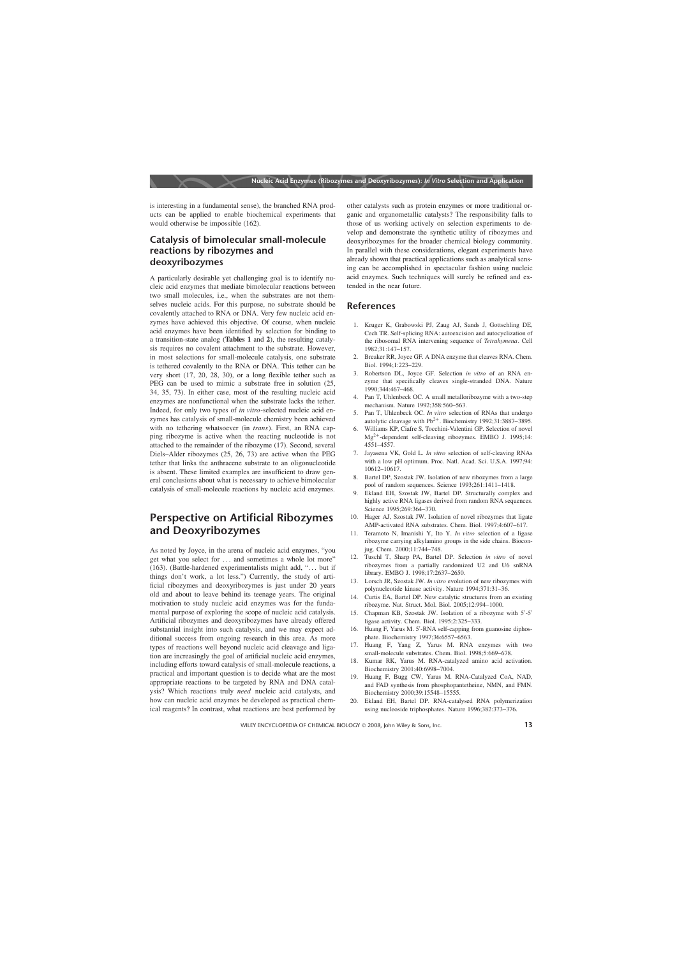is interesting in a fundamental sense), the branched RNA products can be applied to enable biochemical experiments that would otherwise be impossible (162).

# **Catalysis of bimolecular small-molecule reactions by ribozymes and deoxyribozymes**

A particularly desirable yet challenging goal is to identify nucleic acid enzymes that mediate bimolecular reactions between two small molecules, i.e., when the substrates are not themselves nucleic acids. For this purpose, no substrate should be covalently attached to RNA or DNA. Very few nucleic acid enzymes have achieved this objective. Of course, when nucleic acid enzymes have been identified by selection for binding to a transition-state analog (**Tables 1** and **2**), the resulting catalysis requires no covalent attachment to the substrate. However, in most selections for small-molecule catalysis, one substrate is tethered covalently to the RNA or DNA. This tether can be very short (17, 20, 28, 30), or a long flexible tether such as PEG can be used to mimic a substrate free in solution (25, 34, 35, 73). In either case, most of the resulting nucleic acid enzymes are nonfunctional when the substrate lacks the tether. Indeed, for only two types of *in vitro*-selected nucleic acid enzymes has catalysis of small-molecule chemistry been achieved with no tethering whatsoever (in *trans*). First, an RNA capping ribozyme is active when the reacting nucleotide is not attached to the remainder of the ribozyme (17). Second, several Diels–Alder ribozymes (25, 26, 73) are active when the PEG tether that links the anthracene substrate to an oligonucleotide is absent. These limited examples are insufficient to draw general conclusions about what is necessary to achieve bimolecular catalysis of small-molecule reactions by nucleic acid enzymes.

# **Perspective on Artificial Ribozymes and Deoxyribozymes**

As noted by Joyce, in the arena of nucleic acid enzymes, "you get what you select for *...* and sometimes a whole lot more" (163). (Battle-hardened experimentalists might add, "*...* but if things don't work, a lot less.") Currently, the study of artificial ribozymes and deoxyribozymes is just under 20 years old and about to leave behind its teenage years. The original motivation to study nucleic acid enzymes was for the fundamental purpose of exploring the scope of nucleic acid catalysis. Artificial ribozymes and deoxyribozymes have already offered substantial insight into such catalysis, and we may expect additional success from ongoing research in this area. As more types of reactions well beyond nucleic acid cleavage and ligation are increasingly the goal of artificial nucleic acid enzymes, including efforts toward catalysis of small-molecule reactions, a practical and important question is to decide what are the most appropriate reactions to be targeted by RNA and DNA catalysis? Which reactions truly *need* nucleic acid catalysts, and how can nucleic acid enzymes be developed as practical chemical reagents? In contrast, what reactions are best performed by

other catalysts such as protein enzymes or more traditional organic and organometallic catalysts? The responsibility falls to those of us working actively on selection experiments to develop and demonstrate the synthetic utility of ribozymes and deoxyribozymes for the broader chemical biology community. In parallel with these considerations, elegant experiments have already shown that practical applications such as analytical sensing can be accomplished in spectacular fashion using nucleic acid enzymes. Such techniques will surely be refined and extended in the near future.

#### **References**

- 1. Kruger K, Grabowski PJ, Zaug AJ, Sands J, Gottschling DE, Cech TR. Self-splicing RNA: autoexcision and autocyclization of the ribosomal RNA intervening sequence of *Tetrahymena*. Cell 1982;31:147–157.
- 2. Breaker RR, Joyce GF. A DNA enzyme that cleaves RNA. Chem. Biol. 1994;1:223–229.
- 3. Robertson DL, Joyce GF. Selection *in vitro* of an RNA enzyme that specifically cleaves single-stranded DNA. Nature 1990;344:467–468.
- 4. Pan T, Uhlenbeck OC. A small metalloribozyme with a two-step mechanism. Nature 1992;358:560–563.
- 5. Pan T, Uhlenbeck OC. *In vitro* selection of RNAs that undergo autolytic cleavage with  $Pb^{2+}$ . Biochemistry 1992;31:3887-3895.
- 6. Williams KP, Ciafre S, Tocchini-Valentini GP. Selection of novel Mg2+-dependent self-cleaving ribozymes. EMBO J. 1995;14: 4551–4557.
- 7. Jayasena VK, Gold L. *In vitro* selection of self-cleaving RNAs with a low pH optimum. Proc. Natl. Acad. Sci. U.S.A. 1997;94: 10612–10617.
- 8. Bartel DP, Szostak JW. Isolation of new ribozymes from a large pool of random sequences. Science 1993;261:1411–1418.
- 9. Ekland EH, Szostak JW, Bartel DP. Structurally complex and highly active RNA ligases derived from random RNA sequences. Science 1995;269:364–370.
- 10. Hager AJ, Szostak JW. Isolation of novel ribozymes that ligate AMP-activated RNA substrates. Chem. Biol. 1997;4:607–617.
- 11. Teramoto N, Imanishi Y, Ito Y. *In vitro* selection of a ligase ribozyme carrying alkylamino groups in the side chains. Bioconjug. Chem. 2000;11:744–748.
- 12. Tuschl T, Sharp PA, Bartel DP. Selection *in vitro* of novel ribozymes from a partially randomized U2 and U6 snRNA library. EMBO J. 1998;17:2637–2650.
- 13. Lorsch JR, Szostak JW. *In vitro* evolution of new ribozymes with polynucleotide kinase activity. Nature 1994;371:31–36.
- 14. Curtis EA, Bartel DP. New catalytic structures from an existing ribozyme. Nat. Struct. Mol. Biol. 2005;12:994–1000.
- 15. Chapman KB, Szostak JW. Isolation of a ribozyme with 5 -5 ligase activity. Chem. Biol. 1995;2:325–333.
- 16. Huang F, Yarus M. 5 -RNA self-capping from guanosine diphosphate. Biochemistry 1997;36:6557–6563.
- 17. Huang F, Yang Z, Yarus M. RNA enzymes with two small-molecule substrates. Chem. Biol. 1998;5:669–678.
- 18. Kumar RK, Yarus M. RNA-catalyzed amino acid activation. Biochemistry 2001;40:6998–7004.
- 19. Huang F, Bugg CW, Yarus M. RNA-Catalyzed CoA, NAD, and FAD synthesis from phosphopantetheine, NMN, and FMN. Biochemistry 2000;39:15548–15555.
- 20. Ekland EH, Bartel DP. RNA-catalysed RNA polymerization using nucleoside triphosphates. Nature 1996;382:373–376.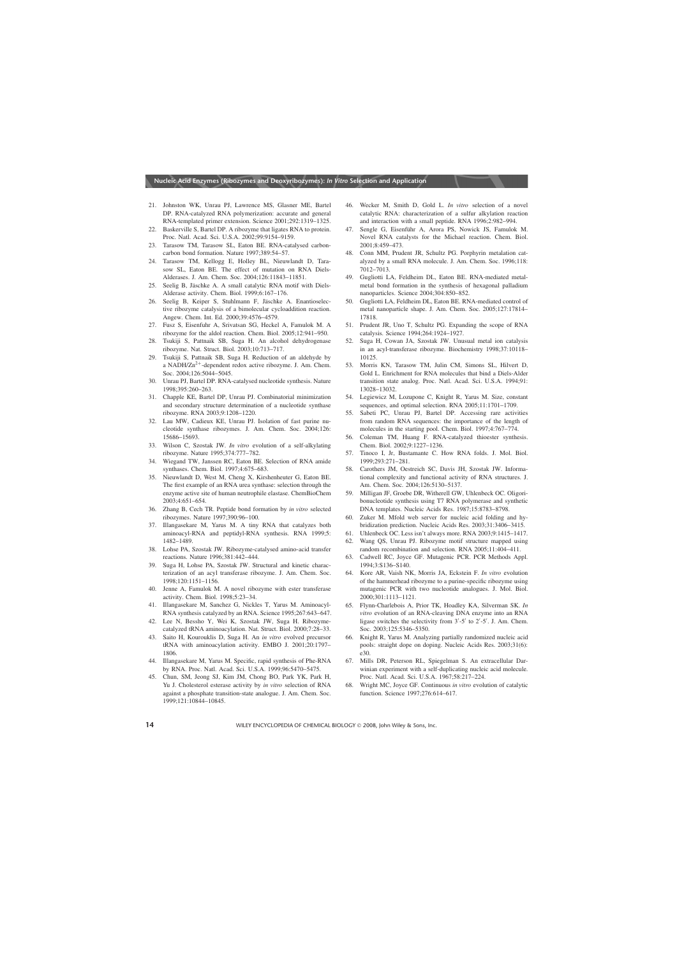- 21. Johnston WK, Unrau PJ, Lawrence MS, Glasner ME, Bartel DP. RNA-catalyzed RNA polymerization: accurate and general RNA-templated primer extension. Science 2001;292:1319–1325.
- 22. Baskerville S, Bartel DP. A ribozyme that ligates RNA to protein. Proc. Natl. Acad. Sci. U.S.A. 2002;99:9154–9159.
- 23. Tarasow TM, Tarasow SL, Eaton BE. RNA-catalysed carboncarbon bond formation. Nature 1997;389:54–57.
- 24. Tarasow TM, Kellogg E, Holley BL, Nieuwlandt D, Tarasow SL, Eaton BE. The effect of mutation on RNA Diels-Alderases. J. Am. Chem. Soc. 2004;126:11843–11851.
- 25. Seelig B, Jäschke A. A small catalytic RNA motif with Diels-Alderase activity. Chem. Biol. 1999;6:167–176.
- 26. Seelig B, Keiper S, Stuhlmann F, Jäschke A. Enantioselective ribozyme catalysis of a bimolecular cycloaddition reaction. Angew. Chem. Int. Ed. 2000;39:4576–4579.
- 27. Fusz S, Eisenfuhr A, Srivatsan SG, Heckel A, Famulok M. A ribozyme for the aldol reaction. Chem. Biol. 2005;12:941–950.
- 28. Tsukiji S, Pattnaik SB, Suga H. An alcohol dehydrogenase ribozyme. Nat. Struct. Biol. 2003;10:713–717.
- 29. Tsukiji S, Pattnaik SB, Suga H. Reduction of an aldehyde by a NADH/ $Zn^{2+}$ -dependent redox active ribozyme. J. Am. Chem. Soc. 2004;126:5044–5045.
- 30. Unrau PJ, Bartel DP. RNA-catalysed nucleotide synthesis. Nature 1998;395:260–263.
- 31. Chapple KE, Bartel DP, Unrau PJ. Combinatorial minimization and secondary structure determination of a nucleotide synthase ribozyme. RNA 2003;9:1208–1220.
- 32. Lau MW, Cadieux KE, Unrau PJ. Isolation of fast purine nucleotide synthase ribozymes. J. Am. Chem. Soc. 2004;126: 15686–15693.
- 33. Wilson C, Szostak JW. *In vitro* evolution of a self-alkylating ribozyme. Nature 1995;374:777–782.
- 34. Wiegand TW, Janssen RC, Eaton BE. Selection of RNA amide synthases. Chem. Biol. 1997;4:675–683.
- 35. Nieuwlandt D, West M, Cheng X, Kirshenheuter G, Eaton BE. The first example of an RNA urea synthase: selection through the enzyme active site of human neutrophile elastase. ChemBioChem 2003;4:651–654.
- 36. Zhang B, Cech TR. Peptide bond formation by *in vitro* selected ribozymes. Nature 1997;390:96–100.
- 37. Illangasekare M, Yarus M. A tiny RNA that catalyzes both aminoacyl-RNA and peptidyl-RNA synthesis. RNA 1999;5: 1482–1489.
- 38. Lohse PA, Szostak JW. Ribozyme-catalysed amino-acid transfer reactions. Nature 1996;381:442–444.
- 39. Suga H, Lohse PA, Szostak JW. Structural and kinetic characterization of an acyl transferase ribozyme. J. Am. Chem. Soc. 1998;120:1151–1156.
- 40. Jenne A, Famulok M. A novel ribozyme with ester transferase activity. Chem. Biol. 1998;5:23–34.
- 41. Illangasekare M, Sanchez G, Nickles T, Yarus M. Aminoacyl-RNA synthesis catalyzed by an RNA. Science 1995;267:643–647.
- 42. Lee N, Bessho Y, Wei K, Szostak JW, Suga H. Ribozymecatalyzed tRNA aminoacylation. Nat. Struct. Biol. 2000;7:28–33.
- 43. Saito H, Kourouklis D, Suga H. An *in vitro* evolved precursor tRNA with aminoacylation activity. EMBO J. 2001;20:1797– 1806.
- 44. Illangasekare M, Yarus M. Specific, rapid synthesis of Phe-RNA by RNA. Proc. Natl. Acad. Sci. U.S.A. 1999;96:5470–5475.
- 45. Chun, SM, Jeong SJ, Kim JM, Chong BO, Park YK, Park H, Yu J. Cholesterol esterase activity by *in vitro* selection of RNA against a phosphate transition-state analogue. J. Am. Chem. Soc. 1999;121:10844–10845.
- 46. Wecker M, Smith D, Gold L. *In vitro* selection of a novel catalytic RNA: characterization of a sulfur alkylation reaction and interaction with a small peptide. RNA 1996;2:982–994.
- 47. Sengle G, Eisenführ A, Arora PS, Nowick JS, Famulok M. Novel RNA catalysts for the Michael reaction. Chem. Biol. 2001;8:459–473.
- 48. Conn MM, Prudent JR, Schultz PG. Porphyrin metalation catalyzed by a small RNA molecule. J. Am. Chem. Soc. 1996;118: 7012–7013.
- 49. Gugliotti LA, Feldheim DL, Eaton BE. RNA-mediated metalmetal bond formation in the synthesis of hexagonal palladium nanoparticles. Science 2004;304:850–852.
- 50. Gugliotti LA, Feldheim DL, Eaton BE. RNA-mediated control of metal nanoparticle shape. J. Am. Chem. Soc. 2005;127:17814– 17818.
- 51. Prudent JR, Uno T, Schultz PG. Expanding the scope of RNA catalysis. Science 1994;264:1924–1927.
- 52. Suga H, Cowan JA, Szostak JW. Unusual metal ion catalysis in an acyl-transferase ribozyme. Biochemistry 1998;37:10118– 10125.
- 53. Morris KN, Tarasow TM, Julin CM, Simons SL, Hilvert D, Gold L. Enrichment for RNA molecules that bind a Diels-Alder transition state analog. Proc. Natl. Acad. Sci. U.S.A. 1994;91: 13028–13032.
- 54. Legiewicz M, Lozupone C, Knight R, Yarus M. Size, constant sequences, and optimal selection. RNA 2005;11:1701–1709.
- 55. Sabeti PC, Unrau PJ, Bartel DP. Accessing rare activities from random RNA sequences: the importance of the length of molecules in the starting pool. Chem. Biol. 1997;4:767–774.
- 56. Coleman TM, Huang F. RNA-catalyzed thioester synthesis. Chem. Biol. 2002;9:1227–1236.
- 57. Tinoco I, Jr, Bustamante C. How RNA folds. J. Mol. Biol. 1999;293:271–281.
- 58. Carothers JM, Oestreich SC, Davis JH, Szostak JW. Informational complexity and functional activity of RNA structures. J. Am. Chem. Soc. 2004;126:5130–5137.
- 59. Milligan JF, Groebe DR, Witherell GW, Uhlenbeck OC. Oligoribonucleotide synthesis using T7 RNA polymerase and synthetic DNA templates. Nucleic Acids Res. 1987;15:8783–8798.
- 60. Zuker M. Mfold web server for nucleic acid folding and hybridization prediction. Nucleic Acids Res. 2003;31:3406–3415.
- 61. Uhlenbeck OC. Less isn't always more. RNA 2003;9:1415–1417.
- 62. Wang QS, Unrau PJ. Ribozyme motif structure mapped using random recombination and selection. RNA 2005;11:404–411.
- 63. Cadwell RC, Joyce GF. Mutagenic PCR. PCR Methods Appl. 1994;3:S136–S140.
- 64. Kore AR, Vaish NK, Morris JA, Eckstein F. *In vitro* evolution of the hammerhead ribozyme to a purine-specific ribozyme using mutagenic PCR with two nucleotide analogues. J. Mol. Biol. 2000;301:1113–1121.
- 65. Flynn-Charlebois A, Prior TK, Hoadley KA, Silverman SK. *In vitro* evolution of an RNA-cleaving DNA enzyme into an RNA ligase switches the selectivity from  $3'-5'$  to  $2'-5'$ . J. Am. Chem. Soc. 2003;125:5346–5350.
- 66. Knight R, Yarus M. Analyzing partially randomized nucleic acid pools: straight dope on doping. Nucleic Acids Res. 2003;31(6): e30.
- 67. Mills DR, Peterson RL, Spiegelman S. An extracellular Darwinian experiment with a self-duplicating nucleic acid molecule. Proc. Natl. Acad. Sci. U.S.A. 1967;58:217–224.
- 68. Wright MC, Joyce GF. Continuous *in vitro* evolution of catalytic function. Science 1997;276:614–617.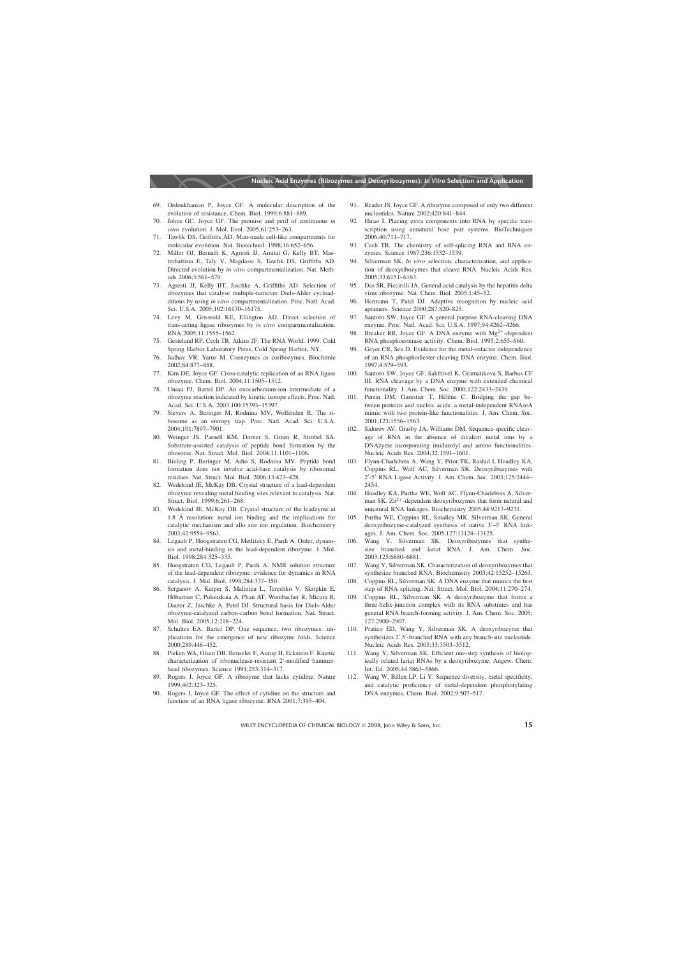- 69. Ordoukhanian P, Joyce GF. A molecular description of the evolution of resistance. Chem. Biol. 1999;6:881–889.
- 70. Johns GC, Joyce GF. The promise and peril of continuous *in vitro* evolution. J. Mol. Evol. 2005;61:253–263.
- 71. Tawfik DS, Griffiths AD. Man-made cell-like compartments for molecular evolution. Nat. Biotechnol. 1998;16:652–656.
- 72. Miller OJ, Bernath K, Agresti JJ, Amitai G, Kelly BT, Mastrobattista E, Taly V, Magdassi S, Tawfik DS, Griffiths AD. Directed evolution by *in vitro* compartmentalization. Nat. Methods 2006;3:561–570.
- 73. Agresti JJ, Kelly BT, Jaschke A, Griffiths AD. Selection of ribozymes that catalyse multiple-turnover Diels-Alder cycloadditions by using *in vitro* compartmentalization. Proc. Natl. Acad. Sci. U.S.A. 2005;102:16170–16175.
- 74. Levy M, Griswold KE, Ellington AD. Direct selection of trans-acting ligase ribozymes by *in vitro* compartmentalization. RNA 2005;11:1555–1562.
- 75. Gesteland RF, Cech TR, Atkins JF. The RNA World. 1999. Cold Spring Harbor Laboratory Press, Cold Spring Harbor, NY.
- 76. Jadhav VR, Yarus M. Coenzymes as coribozymes. Biochimie 2002;84:877–888.
- 77. Kim DE, Joyce GF. Cross-catalytic replication of an RNA ligase ribozyme. Chem. Biol. 2004;11:1505–1512.
- 78. Unrau PJ, Bartel DP. An oxocarbenium-ion intermediate of a ribozyme reaction indicated by kinetic isotope effects. Proc. Natl. Acad. Sci. U.S.A. 2003;100:15393–15397.
- 79. Sievers A, Beringer M, Rodnina MV, Wolfenden R. The ribosome as an entropy trap. Proc. Natl. Acad. Sci. U.S.A. 2004;101:7897–7901.
- 80. Weinger JS, Parnell KM, Dorner S, Green R, Strobel SA. Substrate-assisted catalysis of peptide bond formation by the ribosome. Nat. Struct. Mol. Biol. 2004;11:1101–1106.
- 81. Bieling P, Beringer M, Adio S, Rodnina MV. Peptide bond formation does not involve acid-base catalysis by ribosomal residues. Nat. Struct. Mol. Biol. 2006;13:423–428.
- 82. Wedekind JE, McKay DB. Crystal structure of a lead-dependent ribozyme revealing metal binding sites relevant to catalysis. Nat. Struct. Biol. 1999;6:261–268.
- 83. Wedekind JE, McKay DB. Crystal structure of the leadzyme at  $1.8$  Å resolution: metal ion binding and the implications for catalytic mechanism and allo site ion regulation. Biochemistry 2003;42:9554–9563.
- 84. Legault P, Hoogstraten CG, Metlitzky E, Pardi A. Order, dynamics and metal-binding in the lead-dependent ribozyme. J. Mol. Biol. 1998;284:325–335.
- 85. Hoogstraten CG, Legault P, Pardi A. NMR solution structure of the lead-dependent ribozyme: evidence for dynamics in RNA catalysis. J. Mol. Biol. 1998;284:337–350.
- 86. Serganov A, Keiper S, Malinina L, Tereshko V, Skripkin E, Höbartner C, Polonskaia A, Phan AT, Wombacher R, Micura R, Dauter Z, Jäschke A, Patel DJ. Structural basis for Diels-Alder ribozyme-catalyzed carbon-carbon bond formation. Nat. Struct. Mol. Biol. 2005;12:218–224.
- 87. Schultes EA, Bartel DP. One sequence, two ribozymes: implications for the emergence of new ribozyme folds. Science 2000;289:448–452.
- 88. Pieken WA, Olsen DB, Benseler F, Aurup H, Eckstein F. Kinetic characterization of ribonuclease-resistant 2 -modified hammerhead ribozymes. Science 1991;253:314–317.
- 89. Rogers J, Joyce GF. A ribozyme that lacks cytidine. Nature 1999;402:323–325.
- Rogers J, Joyce GF. The effect of cytidine on the structure and function of an RNA ligase ribozyme. RNA 2001;7:395–404.
- 91. Reader JS, Joyce GF. A ribozyme composed of only two different nucleotides. Nature 2002;420:841–844.
- 92. Hirao I. Placing extra components into RNA by specific transcription using unnatural base pair systems. BioTechniques 2006;40:711–717.
- 93. Cech TR. The chemistry of self-splicing RNA and RNA enzymes. Science 1987;236:1532–1539.
- 94. Silverman SK. *In vitro* selection, characterization, and application of deoxyribozymes that cleave RNA. Nucleic Acids Res. 2005;33:6151–6163.
- 95. Das SR, Piccirilli JA. General acid catalysis by the hepatitis delta virus ribozyme. Nat. Chem. Biol. 2005;1:45–52.
- 96. Hermann T, Patel DJ. Adaptive recognition by nucleic acid aptamers. Science 2000;287:820–825.
- 97. Santoro SW, Joyce GF. A general purpose RNA-cleaving DNA enzyme. Proc. Natl. Acad. Sci. U.S.A. 1997;94:4262–4266.
- 98. Breaker RR, Joyce GF. A DNA enzyme with  $Mg^{2+}$ -dependent RNA phosphoesterase activity. Chem. Biol. 1995;2:655–660.
- 99. Geyer CR, Sen D. Evidence for the metal-cofactor independence of an RNA phosphodiester-cleaving DNA enzyme. Chem. Biol. 1997;4:579–593.
- 100. Santoro SW, Joyce GF, Sakthivel K, Gramatikova S, Barbas CF III. RNA cleavage by a DNA enzyme with extended chemical functionality. J. Am. Chem. Soc. 2000;122:2433–2439.
- 101. Perrin DM, Garestier T, Hélène C. Bridging the gap between proteins and nucleic acids: a metal-independent RNAseA mimic with two protein-like functionalities. J. Am. Chem. Soc. 2001;123:1556–1563.
- 102. Sidorov AV, Grasby JA, Williams DM. Sequence-specific cleavage of RNA in the absence of divalent metal ions by a DNAzyme incorporating imidazolyl and amino functionalities. Nucleic Acids Res. 2004;32:1591–1601.
- 103. Flynn-Charlebois A, Wang Y, Prior TK, Rashid I, Hoadley KA, Coppins RL, Wolf AC, Silverman SK. Deoxyribozymes with 2 -5 RNA Ligase Activity. J. Am. Chem. Soc. 2003;125:2444– 2454.
- 104. Hoadley KA, Purtha WE, Wolf AC, Flynn-Charlebois A, Silverman SK.  $\text{Zn}^{2+}$ -dependent deoxyribozymes that form natural and unnatural RNA linkages. Biochemistry 2005;44:9217–9231.
- 105. Purtha WE, Coppins RL, Smalley MK, Silverman SK. General deoxyribozyme-catalyzed synthesis of native  $3'-5'$  RNA linkages. J. Am. Chem. Soc. 2005;127:13124–13125.
- 106. Wang Y, Silverman SK. Deoxyribozymes that synthesize branched and lariat RNA. J. Am. Chem. Soc. 2003;125:6880–6881.
- 107. Wang Y, Silverman SK. Characterization of deoxyribozymes that synthesize branched RNA. Biochemistry 2003;42:15252–15263. 108. Coppins RL, Silverman SK. A DNA enzyme that mimics the first
- step of RNA splicing. Nat. Struct. Mol. Biol. 2004;11:270–274.
- 109. Coppins RL, Silverman SK. A deoxyribozyme that forms a three-helix-junction complex with its RNA substrates and has general RNA branch-forming activity. J. Am. Chem. Soc. 2005; 127:2900–2907.
- 110. Pratico ED, Wang Y, Silverman SK. A deoxyribozyme that synthesizes 2 ,5 -branched RNA with any branch-site nucleotide. Nucleic Acids Res. 2005;33:3503–3512.
- 111. Wang Y, Silverman SK. Efficient one-step synthesis of biologically related lariat RNAs by a deoxyribozyme. Angew. Chem. Int. Ed. 2005;44:5863–5866.
- 112. Wang W, Billen LP, Li Y. Sequence diversity, metal specificity, and catalytic proficiency of metal-dependent phosphorylating DNA enzymes. Chem. Biol. 2002;9:507–517.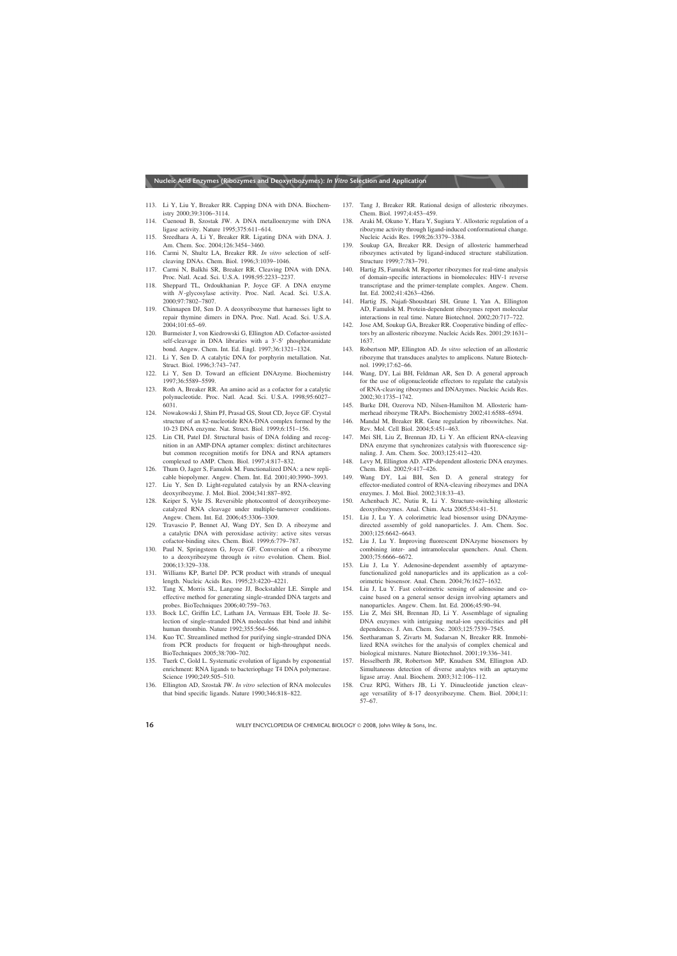- 113. Li Y, Liu Y, Breaker RR. Capping DNA with DNA. Biochemistry 2000;39:3106–3114.
- 114. Cuenoud B, Szostak JW. A DNA metalloenzyme with DNA ligase activity. Nature 1995;375:611–614.
- 115. Sreedhara A, Li Y, Breaker RR. Ligating DNA with DNA. J. Am. Chem. Soc. 2004;126:3454–3460.
- 116. Carmi N, Shultz LA, Breaker RR. *In vitro* selection of selfcleaving DNAs. Chem. Biol. 1996;3:1039–1046.
- 117. Carmi N, Balkhi SR, Breaker RR. Cleaving DNA with DNA. Proc. Natl. Acad. Sci. U.S.A. 1998;95:2233–2237.
- 118. Sheppard TL, Ordoukhanian P, Joyce GF. A DNA enzyme with *N* -glycosylase activity. Proc. Natl. Acad. Sci. U.S.A. 2000;97:7802–7807.
- 119. Chinnapen DJ, Sen D. A deoxyribozyme that harnesses light to repair thymine dimers in DNA. Proc. Natl. Acad. Sci. U.S.A. 2004;101:65–69.
- 120. Burmeister J, von Kiedrowski G, Ellington AD. Cofactor-assisted self-cleavage in DNA libraries with a 3'-5' phosphoramidate bond. Angew. Chem. Int. Ed. Engl. 1997;36:1321–1324.
- 121. Li Y, Sen D. A catalytic DNA for porphyrin metallation. Nat. Struct. Biol. 1996;3:743–747.
- 122. Li Y, Sen D. Toward an efficient DNAzyme. Biochemistry 1997;36:5589–5599.
- 123. Roth A, Breaker RR. An amino acid as a cofactor for a catalytic polynucleotide. Proc. Natl. Acad. Sci. U.S.A. 1998;95:6027– 6031.
- 124. Nowakowski J, Shim PJ, Prasad GS, Stout CD, Joyce GF. Crystal structure of an 82-nucleotide RNA-DNA complex formed by the 10-23 DNA enzyme. Nat. Struct. Biol. 1999;6:151–156.
- 125. Lin CH, Patel DJ. Structural basis of DNA folding and recognition in an AMP-DNA aptamer complex: distinct architectures but common recognition motifs for DNA and RNA aptamers complexed to AMP. Chem. Biol. 1997;4:817–832.
- 126. Thum O, Jager S, Famulok M. Functionalized DNA: a new replicable biopolymer. Angew. Chem. Int. Ed. 2001;40:3990–3993.
- 127. Liu Y, Sen D. Light-regulated catalysis by an RNA-cleaving deoxyribozyme. J. Mol. Biol. 2004;341:887–892.
- 128. Keiper S, Vyle JS. Reversible photocontrol of deoxyribozymecatalyzed RNA cleavage under multiple-turnover conditions. Angew. Chem. Int. Ed. 2006;45:3306–3309.
- 129. Travascio P, Bennet AJ, Wang DY, Sen D. A ribozyme and a catalytic DNA with peroxidase activity: active sites versus cofactor-binding sites. Chem. Biol. 1999;6:779–787.
- 130. Paul N, Springsteen G, Joyce GF. Conversion of a ribozyme to a deoxyribozyme through *in vitro* evolution. Chem. Biol. 2006;13:329–338.
- 131. Williams KP, Bartel DP. PCR product with strands of unequal length. Nucleic Acids Res. 1995;23:4220–4221.
- 132. Tang X, Morris SL, Langone JJ, Bockstahler LE. Simple and effective method for generating single-stranded DNA targets and probes. BioTechniques 2006;40:759–763.
- 133. Bock LC, Griffin LC, Latham JA, Vermaas EH, Toole JJ. Selection of single-stranded DNA molecules that bind and inhibit human thrombin. Nature 1992;355:564–566.
- 134. Kuo TC. Streamlined method for purifying single-stranded DNA from PCR products for frequent or high-throughput needs. BioTechniques 2005;38:700–702.
- 135. Tuerk C, Gold L. Systematic evolution of ligands by exponential enrichment: RNA ligands to bacteriophage T4 DNA polymerase. Science 1990;249:505–510.
- 136. Ellington AD, Szostak JW. *In vitro* selection of RNA molecules that bind specific ligands. Nature 1990;346:818–822.
- 137. Tang J, Breaker RR. Rational design of allosteric ribozymes. Chem. Biol. 1997;4:453–459.
- 138. Araki M, Okuno Y, Hara Y, Sugiura Y. Allosteric regulation of a ribozyme activity through ligand-induced conformational change. Nucleic Acids Res. 1998;26:3379–3384.
- 139. Soukup GA, Breaker RR. Design of allosteric hammerhead ribozymes activated by ligand-induced structure stabilization. Structure 1999;7:783–791.
- 140. Hartig JS, Famulok M. Reporter ribozymes for real-time analysis of domain-specific interactions in biomolecules: HIV-1 reverse transcriptase and the primer-template complex. Angew. Chem. Int. Ed. 2002;41:4263–4266.
- 141. Hartig JS, Najafi-Shoushtari SH, Grune I, Yan A, Ellington AD, Famulok M. Protein-dependent ribozymes report molecular interactions in real time. Nature Biotechnol. 2002;20:717–722.
- 142. Jose AM, Soukup GA, Breaker RR. Cooperative binding of effectors by an allosteric ribozyme. Nucleic Acids Res. 2001;29:1631– 1637.
- 143. Robertson MP, Ellington AD. *In vitro* selection of an allosteric ribozyme that transduces analytes to amplicons. Nature Biotechnol. 1999;17:62–66.
- 144. Wang, DY, Lai BH, Feldman AR, Sen D. A general approach for the use of oligonucleotide effectors to regulate the catalysis of RNA-cleaving ribozymes and DNAzymes. Nucleic Acids Res. 2002;30:1735–1742.
- 145. Burke DH, Ozerova ND, Nilsen-Hamilton M. Allosteric hammerhead ribozyme TRAPs. Biochemistry 2002;41:6588–6594.
- 146. Mandal M, Breaker RR. Gene regulation by riboswitches. Nat. Rev. Mol. Cell Biol. 2004;5:451–463.
- 147. Mei SH, Liu Z, Brennan JD, Li Y. An efficient RNA-cleaving DNA enzyme that synchronizes catalysis with fluorescence signaling. J. Am. Chem. Soc. 2003;125:412–420.
- 148. Levy M, Ellington AD. ATP-dependent allosteric DNA enzymes. Chem. Biol. 2002;9:417–426.
- 149. Wang DY, Lai BH, Sen D. A general strategy for effector-mediated control of RNA-cleaving ribozymes and DNA enzymes. J. Mol. Biol. 2002;318:33–43.
- 150. Achenbach JC, Nutiu R, Li Y. Structure-switching allosteric deoxyribozymes. Anal. Chim. Acta 2005;534:41–51.
- 151. Liu J, Lu Y. A colorimetric lead biosensor using DNAzymedirected assembly of gold nanoparticles. J. Am. Chem. Soc. 2003;125:6642–6643.
- 152. Liu J, Lu Y. Improving fluorescent DNAzyme biosensors by combining inter- and intramolecular quenchers. Anal. Chem. 2003;75:6666–6672.
- 153. Liu J, Lu Y. Adenosine-dependent assembly of aptazymefunctionalized gold nanoparticles and its application as a colorimetric biosensor. Anal. Chem. 2004;76:1627–1632.
- 154. Liu J, Lu Y. Fast colorimetric sensing of adenosine and cocaine based on a general sensor design involving aptamers and nanoparticles. Angew. Chem. Int. Ed. 2006;45:90–94.
- 155. Liu Z, Mei SH, Brennan JD, Li Y. Assemblage of signaling DNA enzymes with intriguing metal-ion specificities and pH dependences. J. Am. Chem. Soc. 2003;125:7539–7545.
- 156. Seetharaman S, Zivarts M, Sudarsan N, Breaker RR. Immobilized RNA switches for the analysis of complex chemical and biological mixtures. Nature Biotechnol. 2001;19:336–341.
- 157. Hesselberth JR, Robertson MP, Knudsen SM, Ellington AD. Simultaneous detection of diverse analytes with an aptazyme ligase array. Anal. Biochem. 2003;312:106–112.
- 158. Cruz RPG, Withers JB, Li Y. Dinucleotide junction cleavage versatility of 8-17 deoxyribozyme. Chem. Biol. 2004;11: 57–67.